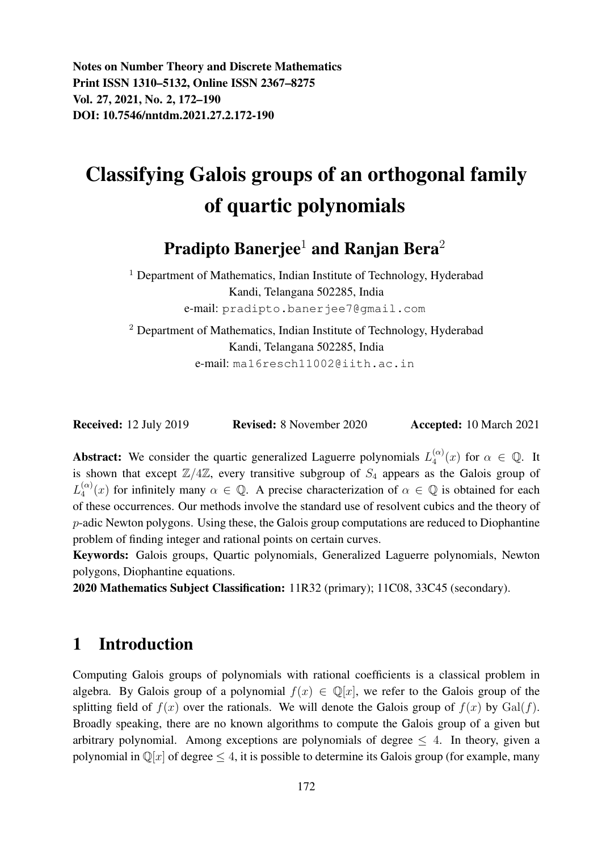Notes on Number Theory and Discrete Mathematics Print ISSN 1310–5132, Online ISSN 2367–8275 Vol. 27, 2021, No. 2, 172–190 DOI: 10.7546/nntdm.2021.27.2.172-190

# Classifying Galois groups of an orthogonal family of quartic polynomials

## **Pradipto Banerjee<sup>1</sup>** and Ranjan Bera<sup>2</sup>

<sup>1</sup> Department of Mathematics, Indian Institute of Technology, Hyderabad Kandi, Telangana 502285, India e-mail: pradipto.banerjee7@gmail.com

<sup>2</sup> Department of Mathematics, Indian Institute of Technology, Hyderabad Kandi, Telangana 502285, India e-mail: ma16resch11002@iith.ac.in

| <b>Received:</b> 12 July 2019 | <b>Revised:</b> 8 November 2020 | <b>Accepted:</b> 10 March 2021 |
|-------------------------------|---------------------------------|--------------------------------|
|-------------------------------|---------------------------------|--------------------------------|

**Abstract:** We consider the quartic generalized Laguerre polynomials  $L_4^{(\alpha)}$  $\binom{(\alpha)}{4}(x)$  for  $\alpha \in \mathbb{Q}$ . It is shown that except  $\mathbb{Z}/4\mathbb{Z}$ , every transitive subgroup of  $S_4$  appears as the Galois group of  $L_4^{(\alpha)}$  $\binom{\alpha}{4}(x)$  for infinitely many  $\alpha \in \mathbb{Q}$ . A precise characterization of  $\alpha \in \mathbb{Q}$  is obtained for each of these occurrences. Our methods involve the standard use of resolvent cubics and the theory of p-adic Newton polygons. Using these, the Galois group computations are reduced to Diophantine problem of finding integer and rational points on certain curves.

Keywords: Galois groups, Quartic polynomials, Generalized Laguerre polynomials, Newton polygons, Diophantine equations.

2020 Mathematics Subject Classification: 11R32 (primary); 11C08, 33C45 (secondary).

#### 1 Introduction

Computing Galois groups of polynomials with rational coefficients is a classical problem in algebra. By Galois group of a polynomial  $f(x) \in \mathbb{O}[x]$ , we refer to the Galois group of the splitting field of  $f(x)$  over the rationals. We will denote the Galois group of  $f(x)$  by Gal(f). Broadly speaking, there are no known algorithms to compute the Galois group of a given but arbitrary polynomial. Among exceptions are polynomials of degree  $\leq 4$ . In theory, given a polynomial in  $\mathbb{Q}[x]$  of degree  $\leq 4$ , it is possible to determine its Galois group (for example, many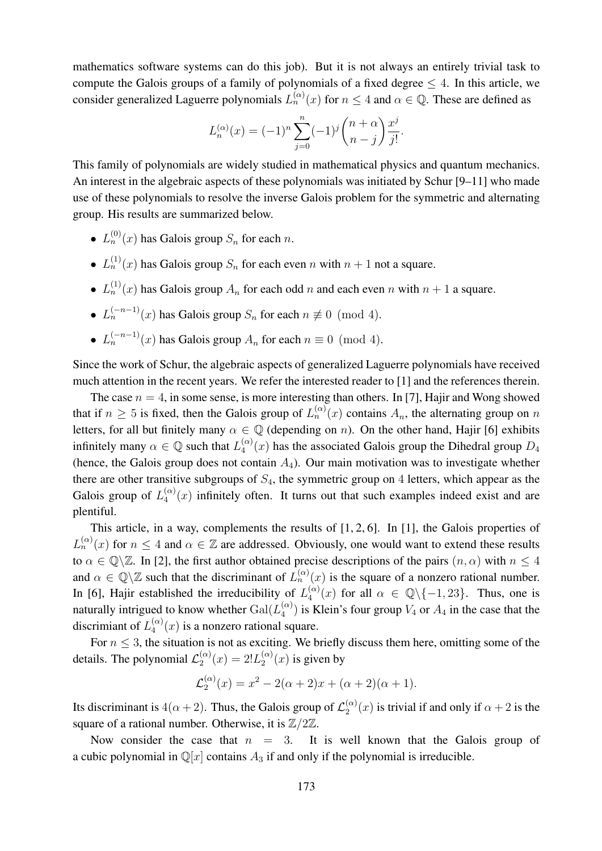mathematics software systems can do this job). But it is not always an entirely trivial task to compute the Galois groups of a family of polynomials of a fixed degree  $\leq 4$ . In this article, we consider generalized Laguerre polynomials  $L_n^{(\alpha)}(x)$  for  $n \leq 4$  and  $\alpha \in \mathbb{Q}$ . These are defined as

$$
L_n^{(\alpha)}(x) = (-1)^n \sum_{j=0}^n (-1)^j \binom{n+\alpha}{n-j} \frac{x^j}{j!}.
$$

This family of polynomials are widely studied in mathematical physics and quantum mechanics. An interest in the algebraic aspects of these polynomials was initiated by Schur [9–11] who made use of these polynomials to resolve the inverse Galois problem for the symmetric and alternating group. His results are summarized below.

- $L_n^{(0)}(x)$  has Galois group  $S_n$  for each n.
- $L_n^{(1)}(x)$  has Galois group  $S_n$  for each even n with  $n + 1$  not a square.
- $L_n^{(1)}(x)$  has Galois group  $A_n$  for each odd n and each even n with  $n + 1$  a square.
- $L_n^{(-n-1)}(x)$  has Galois group  $S_n$  for each  $n \not\equiv 0 \pmod{4}$ .
- $L_n^{(-n-1)}(x)$  has Galois group  $A_n$  for each  $n \equiv 0 \pmod{4}$ .

Since the work of Schur, the algebraic aspects of generalized Laguerre polynomials have received much attention in the recent years. We refer the interested reader to [1] and the references therein.

The case  $n = 4$ , in some sense, is more interesting than others. In [7], Hajir and Wong showed that if  $n \geq 5$  is fixed, then the Galois group of  $L_n^{(\alpha)}(x)$  contains  $A_n$ , the alternating group on n letters, for all but finitely many  $\alpha \in \mathbb{Q}$  (depending on n). On the other hand, Hajir [6] exhibits infinitely many  $\alpha \in \mathbb{Q}$  such that  $L_4^{(\alpha)}$  $\binom{\alpha}{4}(x)$  has the associated Galois group the Dihedral group  $D_4$ (hence, the Galois group does not contain  $A_4$ ). Our main motivation was to investigate whether there are other transitive subgroups of  $S_4$ , the symmetric group on 4 letters, which appear as the Galois group of  $L_4^{(\alpha)}$  $\binom{\alpha}{4}(x)$  infinitely often. It turns out that such examples indeed exist and are plentiful.

This article, in a way, complements the results of [1, 2, 6]. In [1], the Galois properties of  $L_n^{(\alpha)}(x)$  for  $n \leq 4$  and  $\alpha \in \mathbb{Z}$  are addressed. Obviously, one would want to extend these results to  $\alpha \in \mathbb{Q}\backslash\mathbb{Z}$ . In [2], the first author obtained precise descriptions of the pairs  $(n, \alpha)$  with  $n \leq 4$ and  $\alpha \in \mathbb{Q}\backslash\mathbb{Z}$  such that the discriminant of  $L_n^{(\alpha)}(x)$  is the square of a nonzero rational number. In [6], Hajir established the irreducibility of  $L_4^{(\alpha)}$  $\binom{\alpha}{4}(x)$  for all  $\alpha \in \mathbb{Q}\backslash \{-1,23\}$ . Thus, one is naturally intrigued to know whether  $Gal(L_4^{(\alpha)})$  $\binom{\alpha}{4}$  is Klein's four group  $V_4$  or  $A_4$  in the case that the discrimiant of  $L_4^{(\alpha)}$  $\binom{\alpha}{4}(x)$  is a nonzero rational square.

For  $n \leq 3$ , the situation is not as exciting. We briefly discuss them here, omitting some of the details. The polynomial  $\mathcal{L}_2^{(\alpha)}$  $2^{(\alpha)}(x) = 2!L_2^{(\alpha)}$  $2^{(\alpha)}(x)$  is given by

$$
\mathcal{L}_2^{(\alpha)}(x) = x^2 - 2(\alpha + 2)x + (\alpha + 2)(\alpha + 1).
$$

Its discriminant is  $4(\alpha + 2)$ . Thus, the Galois group of  $\mathcal{L}_2^{(\alpha)}$  $2^{(\alpha)}(x)$  is trivial if and only if  $\alpha + 2$  is the square of a rational number. Otherwise, it is  $\mathbb{Z}/2\mathbb{Z}$ .

Now consider the case that  $n = 3$ . It is well known that the Galois group of a cubic polynomial in  $\mathbb{Q}[x]$  contains  $A_3$  if and only if the polynomial is irreducible.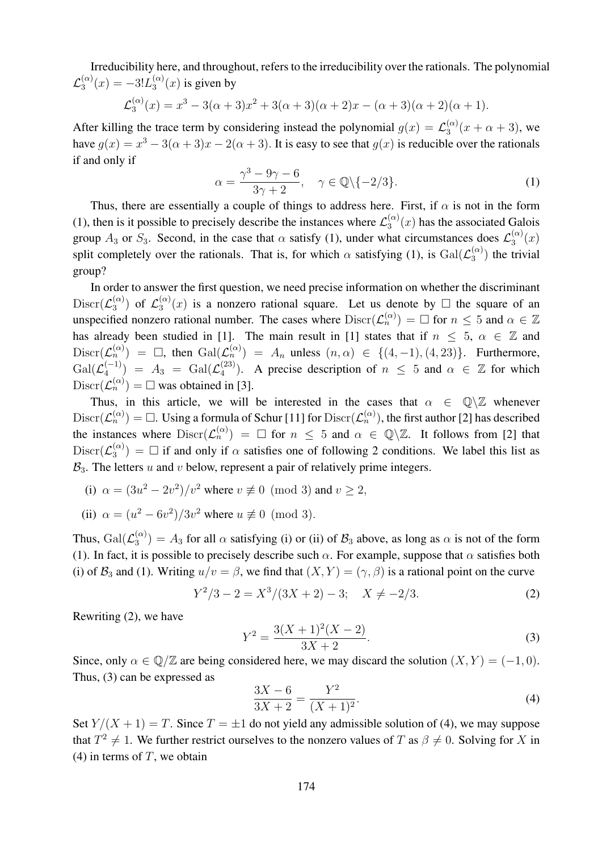Irreducibility here, and throughout, refers to the irreducibility over the rationals. The polynomial  ${\cal L}_3^{(\alpha)}$  $3^{(\alpha)}(x) = -3!L_3^{(\alpha)}$  $\int_3^{(\alpha)} (x)$  is given by

$$
\mathcal{L}_3^{(\alpha)}(x) = x^3 - 3(\alpha + 3)x^2 + 3(\alpha + 3)(\alpha + 2)x - (\alpha + 3)(\alpha + 2)(\alpha + 1).
$$

After killing the trace term by considering instead the polynomial  $g(x) = \mathcal{L}_3^{(\alpha)}$  $\frac{3}{3}(x+\alpha+3)$ , we have  $g(x) = x^3 - 3(\alpha + 3)x - 2(\alpha + 3)$ . It is easy to see that  $g(x)$  is reducible over the rationals if and only if

$$
\alpha = \frac{\gamma^3 - 9\gamma - 6}{3\gamma + 2}, \quad \gamma \in \mathbb{Q} \setminus \{-2/3\}.
$$
 (1)

Thus, there are essentially a couple of things to address here. First, if  $\alpha$  is not in the form (1), then is it possible to precisely describe the instances where  $\mathcal{L}_3^{(\alpha)}$  $\binom{\alpha}{3}(x)$  has the associated Galois group  $A_3$  or  $S_3$ . Second, in the case that  $\alpha$  satisfy (1), under what circumstances does  $\mathcal{L}_3^{(\alpha)}$  $x_3^{(\alpha)}(x)$ split completely over the rationals. That is, for which  $\alpha$  satisfying (1), is  $Gal(\mathcal{L}_{3}^{(\alpha)})$  $\binom{(\alpha)}{3}$  the trivial group?

In order to answer the first question, we need precise information on whether the discriminant  $Discr(\mathcal{L}_3^{(\alpha)})$  $\mathfrak{s}^{(\alpha)}$ ) of  $\mathcal{L}^{(\alpha)}_3$  $\binom{\alpha}{3}(x)$  is a nonzero rational square. Let us denote by  $\Box$  the square of an unspecified nonzero rational number. The cases where  $\text{Discr}(\mathcal{L}_n^{(\alpha)}) = \Box$  for  $n \leq 5$  and  $\alpha \in \mathbb{Z}$ has already been studied in [1]. The main result in [1] states that if  $n \leq 5$ ,  $\alpha \in \mathbb{Z}$  and  $Discr(\mathcal{L}_n^{(\alpha)}) = \Box$ , then  $Gal(\mathcal{L}_n^{(\alpha)}) = A_n$  unless  $(n, \alpha) \in \{(4, -1), (4, 23)\}.$  Furthermore,  $\operatorname{Gal}(\mathcal{L}_4^{(-1)})$  $\binom{(-1)}{4}$  =  $A_3$  =  $\text{Gal}(\mathcal{L}_4^{(23)})$  $\binom{(23)}{4}$ . A precise description of  $n \leq 5$  and  $\alpha \in \mathbb{Z}$  for which  $Discr(\mathcal{L}_n^{(\alpha)}) = \Box$  was obtained in [3].

Thus, in this article, we will be interested in the cases that  $\alpha \in \mathbb{Q} \setminus \mathbb{Z}$  whenever  $Discr(\mathcal{L}_n^{(\alpha)}) = \Box$ . Using a formula of Schur [11] for  $Discr(\mathcal{L}_n^{(\alpha)})$ , the first author [2] has described the instances where  $\text{Discr}(\mathcal{L}_n^{(\alpha)}) = \Box$  for  $n \leq 5$  and  $\alpha \in \mathbb{Q}\setminus\mathbb{Z}$ . It follows from [2] that  $\mathrm{Discr}(\mathcal{L}_3^{(\alpha)})$  $\binom{\alpha}{3}$  =  $\Box$  if and only if  $\alpha$  satisfies one of following 2 conditions. We label this list as  $B_3$ . The letters u and v below, represent a pair of relatively prime integers.

- (i)  $\alpha = (3u^2 2v^2)/v^2$  where  $v \not\equiv 0 \pmod{3}$  and  $v \ge 2$ ,
- (ii)  $\alpha = (u^2 6v^2)/3v^2$  where  $u \not\equiv 0 \pmod{3}$ .

Thus,  $\operatorname{Gal}(\mathcal{L}^{(\alpha)}_3)$  $\binom{\alpha}{3}$  =  $A_3$  for all  $\alpha$  satisfying (i) or (ii) of  $B_3$  above, as long as  $\alpha$  is not of the form (1). In fact, it is possible to precisely describe such  $\alpha$ . For example, suppose that  $\alpha$  satisfies both (i) of  $\mathcal{B}_3$  and (1). Writing  $u/v = \beta$ , we find that  $(X, Y) = (\gamma, \beta)$  is a rational point on the curve

$$
Y^2/3 - 2 = X^3/(3X + 2) - 3; \quad X \neq -2/3.
$$
 (2)

Rewriting (2), we have

$$
Y^2 = \frac{3(X+1)^2(X-2)}{3X+2}.
$$
\n(3)

Since, only  $\alpha \in \mathbb{Q}/\mathbb{Z}$  are being considered here, we may discard the solution  $(X, Y) = (-1, 0)$ . Thus, (3) can be expressed as

$$
\frac{3X - 6}{3X + 2} = \frac{Y^2}{(X + 1)^2}.
$$
\n(4)

Set  $Y/(X + 1) = T$ . Since  $T = \pm 1$  do not yield any admissible solution of (4), we may suppose that  $T^2 \neq 1$ . We further restrict ourselves to the nonzero values of T as  $\beta \neq 0$ . Solving for X in (4) in terms of  $T$ , we obtain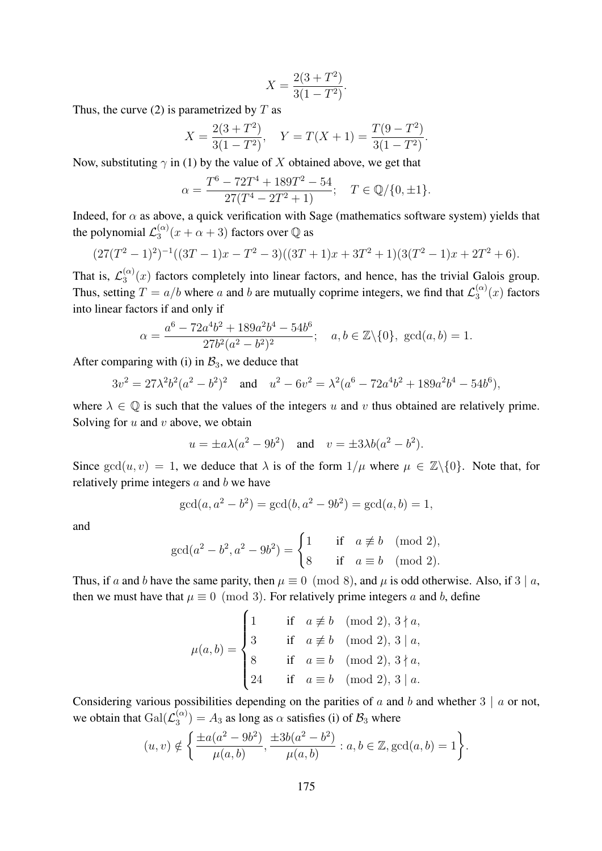$$
X = \frac{2(3+T^2)}{3(1-T^2)}.
$$

Thus, the curve (2) is parametrized by  $T$  as

$$
X = \frac{2(3+T^2)}{3(1-T^2)}, \quad Y = T(X+1) = \frac{T(9-T^2)}{3(1-T^2)}.
$$

Now, substituting  $\gamma$  in (1) by the value of X obtained above, we get that

$$
\alpha = \frac{T^6 - 72T^4 + 189T^2 - 54}{27(T^4 - 2T^2 + 1)}; \quad T \in \mathbb{Q}/\{0, \pm 1\}.
$$

Indeed, for  $\alpha$  as above, a quick verification with Sage (mathematics software system) yields that the polynomial  $\mathcal{L}_3^{(\alpha)}$  $\binom{\alpha}{3}(x+\alpha+3)$  factors over  $\mathbb Q$  as

$$
(27(T^{2}-1)^{2})^{-1}((3T-1)x-T^{2}-3)((3T+1)x+3T^{2}+1)(3(T^{2}-1)x+2T^{2}+6).
$$

That is,  $\mathcal{L}_3^{(\alpha)}$  $\binom{a}{3}(x)$  factors completely into linear factors, and hence, has the trivial Galois group. Thus, setting  $T = a/b$  where a and b are mutually coprime integers, we find that  $\mathcal{L}_3^{(\alpha)}$  $\binom{(\alpha)}{3}(x)$  factors into linear factors if and only if

$$
\alpha = \frac{a^6 - 72a^4b^2 + 189a^2b^4 - 54b^6}{27b^2(a^2 - b^2)^2}; \quad a, b \in \mathbb{Z} \setminus \{0\}, \text{ gcd}(a, b) = 1.
$$

After comparing with (i) in  $B_3$ , we deduce that

$$
3v^2 = 27\lambda^2 b^2 (a^2 - b^2)^2
$$
 and  $u^2 - 6v^2 = \lambda^2 (a^6 - 72a^4b^2 + 189a^2b^4 - 54b^6)$ ,

where  $\lambda \in \mathbb{Q}$  is such that the values of the integers u and v thus obtained are relatively prime. Solving for  $u$  and  $v$  above, we obtain

$$
u = \pm a\lambda(a^2 - 9b^2)
$$
 and  $v = \pm 3\lambda b(a^2 - b^2)$ .

Since  $gcd(u, v) = 1$ , we deduce that  $\lambda$  is of the form  $1/\mu$  where  $\mu \in \mathbb{Z}\setminus\{0\}$ . Note that, for relatively prime integers  $a$  and  $b$  we have

$$
\gcd(a, a^2 - b^2) = \gcd(b, a^2 - 9b^2) = \gcd(a, b) = 1,
$$

and

$$
\gcd(a^2 - b^2, a^2 - 9b^2) = \begin{cases} 1 & \text{if } a \not\equiv b \pmod{2}, \\ 8 & \text{if } a \equiv b \pmod{2}. \end{cases}
$$

Thus, if a and b have the same parity, then  $\mu \equiv 0 \pmod{8}$ , and  $\mu$  is odd otherwise. Also, if 3 | a, then we must have that  $\mu \equiv 0 \pmod{3}$ . For relatively prime integers a and b, define

$$
\mu(a, b) = \begin{cases}\n1 & \text{if } a \not\equiv b \pmod{2}, 3 \nmid a, \\
3 & \text{if } a \not\equiv b \pmod{2}, 3 \mid a, \\
8 & \text{if } a \equiv b \pmod{2}, 3 \nmid a, \\
24 & \text{if } a \equiv b \pmod{2}, 3 \mid a.\n\end{cases}
$$

Considering various possibilities depending on the parities of a and b and whether  $3 \mid a$  or not, we obtain that  $Gal(\mathcal{L}_3^{(\alpha)})$  $\binom{\alpha}{3}$  =  $A_3$  as long as  $\alpha$  satisfies (i) of  $\mathcal{B}_3$  where

$$
(u, v) \notin \left\{ \frac{\pm a(a^2 - 9b^2)}{\mu(a, b)}, \frac{\pm 3b(a^2 - b^2)}{\mu(a, b)} : a, b \in \mathbb{Z}, \text{gcd}(a, b) = 1 \right\}.
$$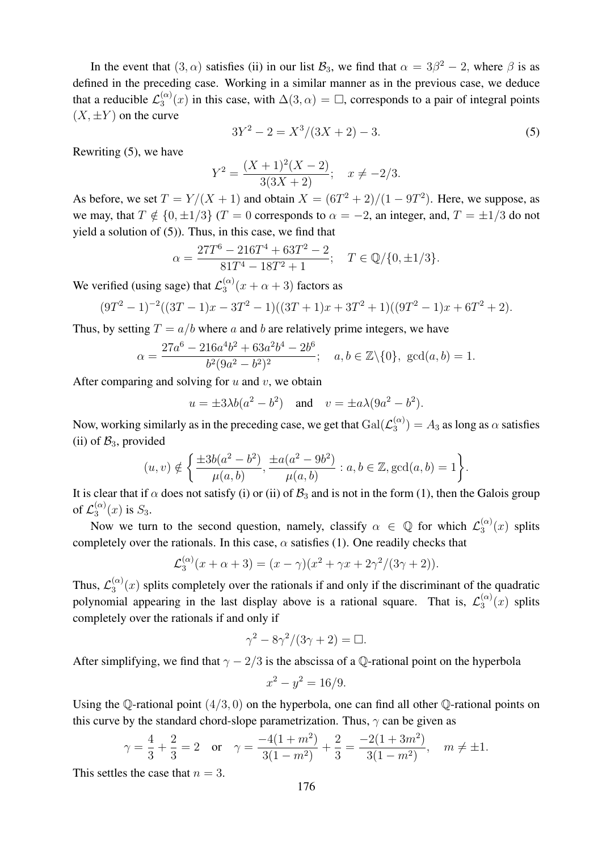In the event that  $(3, \alpha)$  satisfies (ii) in our list  $\mathcal{B}_3$ , we find that  $\alpha = 3\beta^2 - 2$ , where  $\beta$  is as defined in the preceding case. Working in a similar manner as in the previous case, we deduce that a reducible  $\mathcal{L}_3^{(\alpha)}$  $\binom{\alpha}{3}(x)$  in this case, with  $\Delta(3,\alpha) = \square$ , corresponds to a pair of integral points  $(X, \pm Y)$  on the curve

$$
3Y^2 - 2 = X^3/(3X + 2) - 3.\tag{5}
$$

Rewriting (5), we have

$$
Y^{2} = \frac{(X+1)^{2}(X-2)}{3(3X+2)}; \quad x \neq -2/3.
$$

As before, we set  $T = Y/(X + 1)$  and obtain  $X = (6T^2 + 2)/(1 - 9T^2)$ . Here, we suppose, as we may, that  $T \notin \{0, \pm 1/3\}$  ( $T = 0$  corresponds to  $\alpha = -2$ , an integer, and,  $T = \pm 1/3$  do not yield a solution of (5)). Thus, in this case, we find that

$$
\alpha = \frac{27T^6 - 216T^4 + 63T^2 - 2}{81T^4 - 18T^2 + 1}; \quad T \in \mathbb{Q}/\{0, \pm 1/3\}.
$$

We verified (using sage) that  $\mathcal{L}_3^{(\alpha)}$  $\int_3^{(\alpha)} (x + \alpha + 3)$  factors as

$$
(9T2 - 1)-2((3T – 1)x – 3T2 – 1)((3T + 1)x + 3T2 + 1)((9T2 – 1)x + 6T2 + 2).
$$

Thus, by setting  $T = a/b$  where a and b are relatively prime integers, we have

$$
\alpha = \frac{27a^6 - 216a^4b^2 + 63a^2b^4 - 2b^6}{b^2(9a^2 - b^2)^2}; \quad a, b \in \mathbb{Z} \setminus \{0\}, \text{ gcd}(a, b) = 1.
$$

After comparing and solving for  $u$  and  $v$ , we obtain

$$
u = \pm 3\lambda b(a^2 - b^2)
$$
 and  $v = \pm a\lambda (9a^2 - b^2)$ .

Now, working similarly as in the preceding case, we get that  $Gal(\mathcal{L}_{3}^{(\alpha)})$  $\binom{\alpha}{3}$  =  $A_3$  as long as  $\alpha$  satisfies (ii) of  $\mathcal{B}_3$ , provided

$$
(u, v) \notin \left\{ \frac{\pm 3b(a^2 - b^2)}{\mu(a, b)}, \frac{\pm a(a^2 - 9b^2)}{\mu(a, b)} : a, b \in \mathbb{Z}, \gcd(a, b) = 1 \right\}.
$$

It is clear that if  $\alpha$  does not satisfy (i) or (ii) of  $B_3$  and is not in the form (1), then the Galois group of  $\mathcal{L}^{(\alpha)}_{3}$  $j_3^{(\alpha)}(x)$  is  $S_3$ .

Now we turn to the second question, namely, classify  $\alpha \in \mathbb{Q}$  for which  $\mathcal{L}_3^{(\alpha)}$  $\int_3^{(\alpha)} (x)$  splits completely over the rationals. In this case,  $\alpha$  satisfies (1). One readily checks that

$$
\mathcal{L}_3^{(\alpha)}(x+\alpha+3) = (x-\gamma)(x^2+\gamma x+2\gamma^2/(3\gamma+2)).
$$

Thus,  $\mathcal{L}_3^{(\alpha)}$  $\binom{a}{3}(x)$  splits completely over the rationals if and only if the discriminant of the quadratic polynomial appearing in the last display above is a rational square. That is,  $\mathcal{L}_3^{(\alpha)}$  $\int_3^{(\alpha)} (x)$  splits completely over the rationals if and only if

$$
\gamma^2 - 8\gamma^2/(3\gamma + 2) = \Box.
$$

After simplifying, we find that  $\gamma - 2/3$  is the abscissa of a Q-rational point on the hyperbola

$$
x^2 - y^2 = 16/9.
$$

Using the  $\mathbb Q$ -rational point  $(4/3, 0)$  on the hyperbola, one can find all other  $\mathbb Q$ -rational points on this curve by the standard chord-slope parametrization. Thus,  $\gamma$  can be given as

$$
\gamma = \frac{4}{3} + \frac{2}{3} = 2
$$
 or  $\gamma = \frac{-4(1+m^2)}{3(1-m^2)} + \frac{2}{3} = \frac{-2(1+3m^2)}{3(1-m^2)}$ ,  $m \neq \pm 1$ .

This settles the case that  $n = 3$ .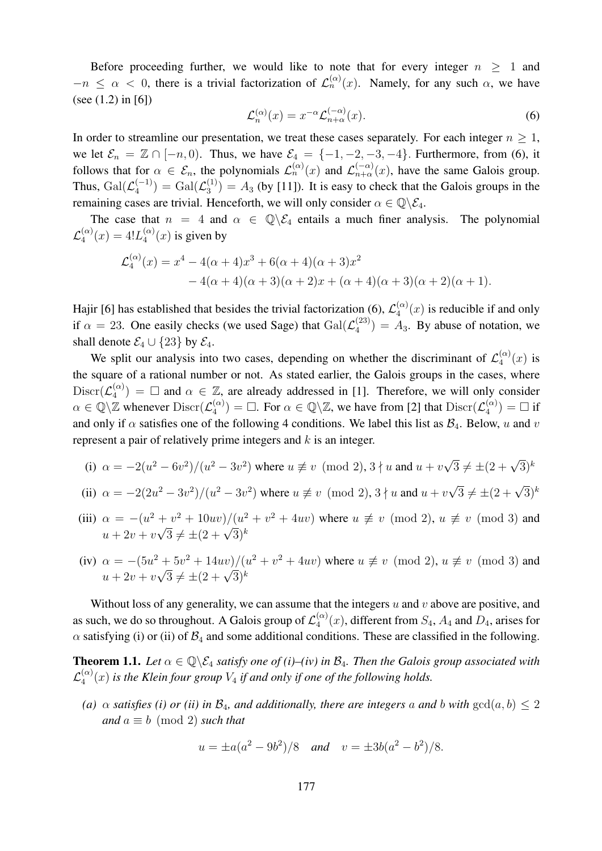Before proceeding further, we would like to note that for every integer  $n > 1$  and  $-n \leq \alpha < 0$ , there is a trivial factorization of  $\mathcal{L}_n^{(\alpha)}(x)$ . Namely, for any such  $\alpha$ , we have (see (1.2) in [6])

$$
\mathcal{L}_n^{(\alpha)}(x) = x^{-\alpha} \mathcal{L}_{n+\alpha}^{(-\alpha)}(x). \tag{6}
$$

In order to streamline our presentation, we treat these cases separately. For each integer  $n \geq 1$ , we let  $\mathcal{E}_n = \mathbb{Z} \cap [-n, 0]$ . Thus, we have  $\mathcal{E}_4 = \{-1, -2, -3, -4\}$ . Furthermore, from (6), it follows that for  $\alpha \in \mathcal{E}_n$ , the polynomials  $\mathcal{L}_n^{(\alpha)}(x)$  and  $\mathcal{L}_{n+\alpha}^{(-\alpha)}(x)$ , have the same Galois group. Thus,  $\operatorname{Gal}(\mathcal{L}_4^{(-1)})$  $\binom{(-1)}{4} = \operatorname{Gal}(\mathcal{L}_{3}^{(1)})$  $\binom{11}{3}$  =  $A_3$  (by [11]). It is easy to check that the Galois groups in the remaining cases are trivial. Henceforth, we will only consider  $\alpha \in \mathbb{Q} \backslash \mathcal{E}_4$ .

The case that  $n = 4$  and  $\alpha \in \mathbb{Q} \backslash \mathcal{E}_4$  entails a much finer analysis. The polynomial  ${\cal L}_4^{(\alpha)}$  $_{4}^{(\alpha)}(x) = 4!L_{4}^{(\alpha)}$  $\binom{\alpha}{4}(x)$  is given by

$$
\mathcal{L}_4^{(\alpha)}(x) = x^4 - 4(\alpha + 4)x^3 + 6(\alpha + 4)(\alpha + 3)x^2
$$
  
- 4(\alpha + 4)(\alpha + 3)(\alpha + 2)x + (\alpha + 4)(\alpha + 3)(\alpha + 2)(\alpha + 1).

Hajir [6] has established that besides the trivial factorization (6),  $\mathcal{L}_4^{(\alpha)}$  $\binom{\alpha}{4}(x)$  is reducible if and only if  $\alpha = 23$ . One easily checks (we used Sage) that  $Gal(\mathcal{L}_4^{(23)})$  $\binom{23}{4}$  =  $A_3$ . By abuse of notation, we shall denote  $\mathcal{E}_4 \cup \{23\}$  by  $\mathcal{E}_4$ .

We split our analysis into two cases, depending on whether the discriminant of  $\mathcal{L}_4^{(\alpha)}$  $f_4^{(\alpha)}(x)$  is the square of a rational number or not. As stated earlier, the Galois groups in the cases, where  $\mathrm{Discr}(\mathcal{L}_4^{(\alpha)}$  $\binom{\alpha}{4}$  =  $\Box$  and  $\alpha \in \mathbb{Z}$ , are already addressed in [1]. Therefore, we will only consider  $\alpha \in \mathbb{Q} \backslash \mathbb{Z}$  whenever  $\text{Discr}(\mathcal{L}_4^{(\alpha)})$  $\binom{\alpha}{4}$  =  $\Box$ . For  $\alpha \in \mathbb{Q} \backslash \mathbb{Z}$ , we have from [2] that  $\text{Discr}(\mathcal{L}_4^{(\alpha)})$  $\binom{\alpha}{4}$  =  $\Box$  if and only if  $\alpha$  satisfies one of the following 4 conditions. We label this list as  $\mathcal{B}_4$ . Below, u and v represent a pair of relatively prime integers and  $k$  is an integer.

(i) 
$$
\alpha = -2(u^2 - 6v^2)/(u^2 - 3v^2)
$$
 where  $u \neq v \pmod{2}$ ,  $3 \nmid u$  and  $u + v\sqrt{3} \neq \pm (2 + \sqrt{3})^k$ 

(ii) 
$$
\alpha = -2(2u^2 - 3v^2)/(u^2 - 3v^2)
$$
 where  $u \neq v \pmod{2}$ ,  $3 \nmid u$  and  $u + v\sqrt{3} \neq \pm (2 + \sqrt{3})^k$ 

- (iii)  $\alpha = -(u^2 + v^2 + 10uv)/(u^2 + v^2 + 4uv)$  where  $u \not\equiv v \pmod{2}$ ,  $u \not\equiv v \pmod{3}$  and  $\alpha = -(a^2 + b^2 + 10av)/(a^2)$ <br> $u + 2v + v\sqrt{3} \neq \pm (2 + \sqrt{3})^k$
- (iv)  $\alpha = -(5u^2 + 5v^2 + 14uv)/(u^2 + v^2 + 4uv)$  where  $u \not\equiv v \pmod{2}$ ,  $u \not\equiv v \pmod{3}$  and  $\alpha = -(\beta a^2 + \beta b^2 + 14 a b^2)/(\alpha)$ <br> $u + 2v + v\sqrt{3} \neq \pm (2 + \sqrt{3})^k$

Without loss of any generality, we can assume that the integers  $u$  and  $v$  above are positive, and as such, we do so throughout. A Galois group of  $\mathcal{L}_4^{(\alpha)}$  $\binom{\alpha}{4}(x)$ , different from  $S_4$ ,  $A_4$  and  $D_4$ , arises for  $\alpha$  satisfying (i) or (ii) of  $\mathcal{B}_4$  and some additional conditions. These are classified in the following.

**Theorem 1.1.** Let  $\alpha \in \mathbb{Q} \backslash \mathcal{E}_4$  *satisfy one of (i)–(iv) in*  $\mathcal{B}_4$ *. Then the Galois group associated with*  $\mathcal{L}_4^{(\alpha)}$  $\binom{a}{4}(x)$  is the Klein four group  $V_4$  if and only if one of the following holds.

*(a)*  $\alpha$  *satisfies (i) or (ii) in*  $\mathcal{B}_4$ *, and additionally, there are integers* a *and* b *with*  $gcd(a, b) \leq 2$ *and*  $a \equiv b \pmod{2}$  *such that* 

$$
u = \pm a(a^2 - 9b^2)/8
$$
 and  $v = \pm 3b(a^2 - b^2)/8$ .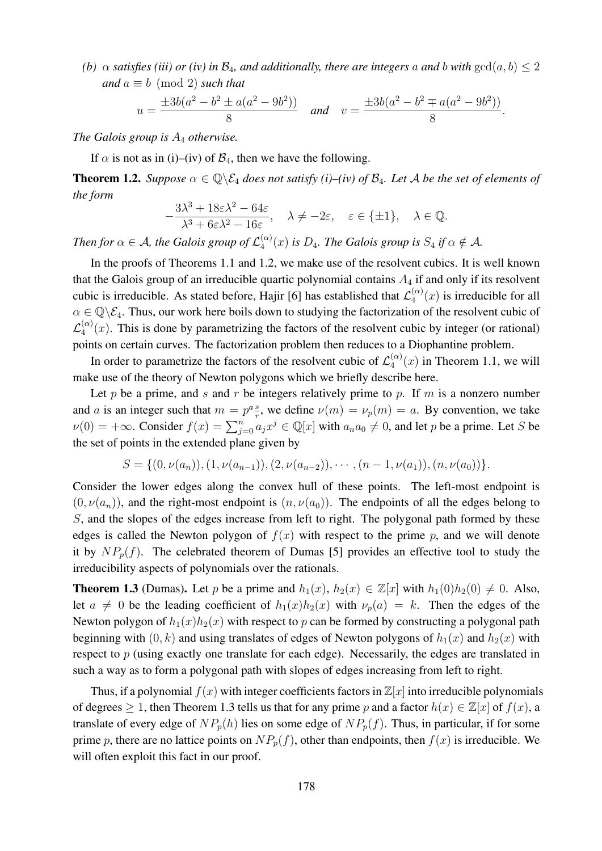*(b)*  $\alpha$  *satisfies (iii) or (iv) in*  $\mathcal{B}_4$ *, and additionally, there are integers* a *and* b *with*  $gcd(a, b) \leq 2$ *and*  $a \equiv b \pmod{2}$  *such that* 

$$
u = \frac{\pm 3b(a^2 - b^2 \pm a(a^2 - 9b^2))}{8}
$$
 and 
$$
v = \frac{\pm 3b(a^2 - b^2 \mp a(a^2 - 9b^2))}{8}
$$
.

*The Galois group is* A<sup>4</sup> *otherwise.*

If  $\alpha$  is not as in (i)–(iv) of  $\mathcal{B}_4$ , then we have the following.

**Theorem 1.2.** *Suppose*  $\alpha \in \mathbb{Q}\backslash \mathcal{E}_4$  *does not satisfy (i)–(iv) of*  $\mathcal{B}_4$ *. Let* A *be the set of elements of the form*

$$
-\frac{3\lambda^3 + 18\varepsilon\lambda^2 - 64\varepsilon}{\lambda^3 + 6\varepsilon\lambda^2 - 16\varepsilon}, \quad \lambda \neq -2\varepsilon, \quad \varepsilon \in \{\pm 1\}, \quad \lambda \in \mathbb{Q}.
$$

*Then for*  $\alpha \in A$ , the Galois group of  $\mathcal{L}_4^{(\alpha)}$  $\binom{a}{4}(x)$  *is*  $D_4$ *. The Galois group is*  $S_4$  *if*  $\alpha \notin A$ *.* 

In the proofs of Theorems 1.1 and 1.2, we make use of the resolvent cubics. It is well known that the Galois group of an irreducible quartic polynomial contains  $A_4$  if and only if its resolvent cubic is irreducible. As stated before, Hajir [6] has established that  $\mathcal{L}_4^{(\alpha)}$  $\binom{\alpha}{4}(x)$  is irreducible for all  $\alpha \in \mathbb{Q} \backslash \mathcal{E}_4$ . Thus, our work here boils down to studying the factorization of the resolvent cubic of  $\mathcal{L}_4^{(\alpha)}$  $\binom{\alpha}{4}(x)$ . This is done by parametrizing the factors of the resolvent cubic by integer (or rational) points on certain curves. The factorization problem then reduces to a Diophantine problem.

In order to parametrize the factors of the resolvent cubic of  $\mathcal{L}_4^{(\alpha)}$  $\binom{\alpha}{4}(x)$  in Theorem 1.1, we will make use of the theory of Newton polygons which we briefly describe here.

Let p be a prime, and s and r be integers relatively prime to p. If m is a nonzero number and a is an integer such that  $m = p^a \frac{g}{r}$  $\frac{s}{r}$ , we define  $\nu(m) = \nu_p(m) = a$ . By convention, we take  $\nu(0) = +\infty$ . Consider  $f(x) = \sum_{j=0}^{n} a_j x^j \in \mathbb{Q}[x]$  with  $a_n a_0 \neq 0$ , and let p be a prime. Let S be the set of points in the extended plane given by

$$
S = \{ (0, \nu(a_n)), (1, \nu(a_{n-1})), (2, \nu(a_{n-2})), \cdots, (n-1, \nu(a_1)), (n, \nu(a_0)) \}.
$$

Consider the lower edges along the convex hull of these points. The left-most endpoint is  $(0, \nu(a_n))$ , and the right-most endpoint is  $(n, \nu(a_0))$ . The endpoints of all the edges belong to S, and the slopes of the edges increase from left to right. The polygonal path formed by these edges is called the Newton polygon of  $f(x)$  with respect to the prime p, and we will denote it by  $NP_p(f)$ . The celebrated theorem of Dumas [5] provides an effective tool to study the irreducibility aspects of polynomials over the rationals.

**Theorem 1.3** (Dumas). Let p be a prime and  $h_1(x)$ ,  $h_2(x) \in \mathbb{Z}[x]$  with  $h_1(0)h_2(0) \neq 0$ . Also, let  $a \neq 0$  be the leading coefficient of  $h_1(x)h_2(x)$  with  $\nu_n(a) = k$ . Then the edges of the Newton polygon of  $h_1(x)h_2(x)$  with respect to p can be formed by constructing a polygonal path beginning with  $(0, k)$  and using translates of edges of Newton polygons of  $h_1(x)$  and  $h_2(x)$  with respect to  $p$  (using exactly one translate for each edge). Necessarily, the edges are translated in such a way as to form a polygonal path with slopes of edges increasing from left to right.

Thus, if a polynomial  $f(x)$  with integer coefficients factors in  $\mathbb{Z}[x]$  into irreducible polynomials of degrees  $\geq 1$ , then Theorem 1.3 tells us that for any prime p and a factor  $h(x) \in \mathbb{Z}[x]$  of  $f(x)$ , a translate of every edge of  $NP_p(h)$  lies on some edge of  $NP_p(f)$ . Thus, in particular, if for some prime p, there are no lattice points on  $NP_p(f)$ , other than endpoints, then  $f(x)$  is irreducible. We will often exploit this fact in our proof.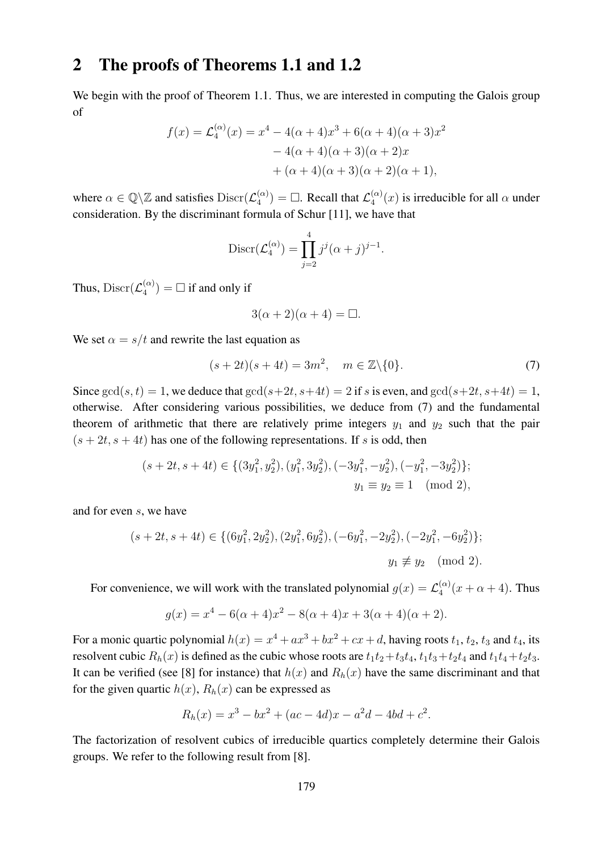## 2 The proofs of Theorems 1.1 and 1.2

We begin with the proof of Theorem 1.1. Thus, we are interested in computing the Galois group of

$$
f(x) = \mathcal{L}_4^{(\alpha)}(x) = x^4 - 4(\alpha + 4)x^3 + 6(\alpha + 4)(\alpha + 3)x^2
$$

$$
- 4(\alpha + 4)(\alpha + 3)(\alpha + 2)x
$$

$$
+ (\alpha + 4)(\alpha + 3)(\alpha + 2)(\alpha + 1),
$$

where  $\alpha \in \mathbb{Q} \backslash \mathbb{Z}$  and satisfies  $\text{Discr}(\mathcal{L}_4^{(\alpha)})$  $\mathcal{L}_4^{(\alpha)}$  =  $\Box$ . Recall that  $\mathcal{L}_4^{(\alpha)}$  $\binom{\alpha}{4}(x)$  is irreducible for all  $\alpha$  under consideration. By the discriminant formula of Schur [11], we have that

$$
\operatorname{Discr}(\mathcal{L}_4^{(\alpha)}) = \prod_{j=2}^4 j^j (\alpha + j)^{j-1}.
$$

Thus, Discr $(\mathcal{L}_4^{(\alpha)})$  $\binom{\alpha}{4}$  =  $\Box$  if and only if

$$
3(\alpha + 2)(\alpha + 4) = \Box.
$$

We set  $\alpha = s/t$  and rewrite the last equation as

$$
(s+2t)(s+4t) = 3m^2, \quad m \in \mathbb{Z}\backslash\{0\}.
$$
 (7)

Since  $gcd(s, t) = 1$ , we deduce that  $gcd(s+2t, s+4t) = 2$  if s is even, and  $gcd(s+2t, s+4t) = 1$ , otherwise. After considering various possibilities, we deduce from (7) and the fundamental theorem of arithmetic that there are relatively prime integers  $y_1$  and  $y_2$  such that the pair  $(s + 2t, s + 4t)$  has one of the following representations. If s is odd, then

$$
(s+2t, s+4t) \in \{ (3y_1^2, y_2^2), (y_1^2, 3y_2^2), (-3y_1^2, -y_2^2), (-y_1^2, -3y_2^2) \};
$$
  

$$
y_1 \equiv y_2 \equiv 1 \pmod{2},
$$

and for even s, we have

$$
(s+2t, s+4t) \in \{ (6y_1^2, 2y_2^2), (2y_1^2, 6y_2^2), (-6y_1^2, -2y_2^2), (-2y_1^2, -6y_2^2) \};
$$
  

$$
y_1 \not\equiv y_2 \pmod{2}.
$$

For convenience, we will work with the translated polynomial  $g(x) = \mathcal{L}_4^{(\alpha)}$  $\frac{a}{4}$ <sup>( $\alpha$ </sup>)( $x + \alpha + 4$ ). Thus

$$
g(x) = x4 - 6(\alpha + 4)x2 - 8(\alpha + 4)x + 3(\alpha + 4)(\alpha + 2).
$$

For a monic quartic polynomial  $h(x) = x^4 + ax^3 + bx^2 + cx + d$ , having roots  $t_1, t_2, t_3$  and  $t_4$ , its resolvent cubic  $R_h(x)$  is defined as the cubic whose roots are  $t_1t_2+t_3t_4$ ,  $t_1t_3+t_2t_4$  and  $t_1t_4+t_2t_3$ . It can be verified (see [8] for instance) that  $h(x)$  and  $R_h(x)$  have the same discriminant and that for the given quartic  $h(x)$ ,  $R_h(x)$  can be expressed as

$$
R_h(x) = x^3 - bx^2 + (ac - 4d)x - a^2d - 4bd + c^2.
$$

The factorization of resolvent cubics of irreducible quartics completely determine their Galois groups. We refer to the following result from [8].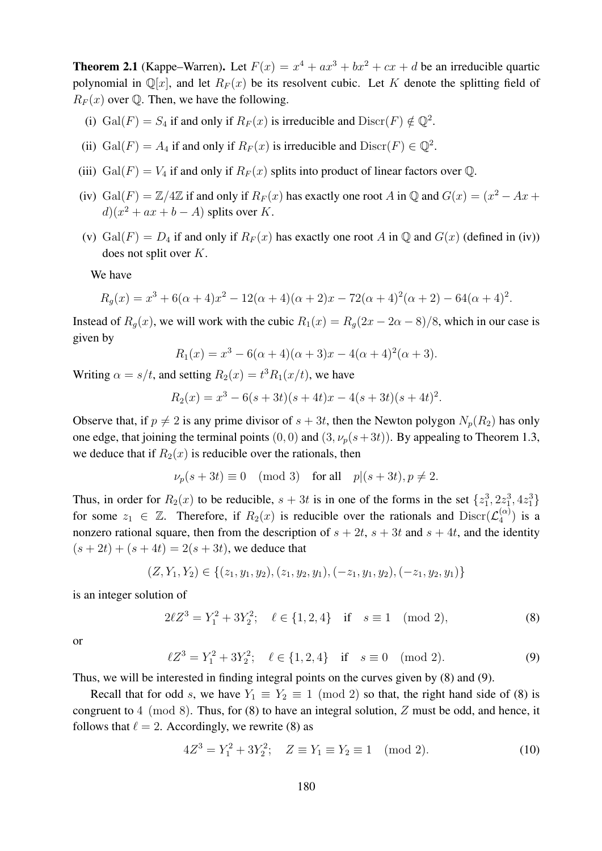**Theorem 2.1** (Kappe–Warren). Let  $F(x) = x^4 + ax^3 + bx^2 + cx + d$  be an irreducible quartic polynomial in  $\mathbb{Q}[x]$ , and let  $R_F(x)$  be its resolvent cubic. Let K denote the splitting field of  $R_F(x)$  over Q. Then, we have the following.

- (i)  $Gal(F) = S_4$  if and only if  $R_F(x)$  is irreducible and  $Discr(F) \notin \mathbb{Q}^2$ .
- (ii) Gal(F) = A<sub>4</sub> if and only if  $R_F(x)$  is irreducible and  $\text{Discr}(F) \in \mathbb{Q}^2$ .
- (iii) Gal(F) =  $V_4$  if and only if  $R_F(x)$  splits into product of linear factors over Q.
- (iv) Gal(F) =  $\mathbb{Z}/4\mathbb{Z}$  if and only if  $R_F(x)$  has exactly one root A in  $\mathbb{Q}$  and  $G(x) = (x^2 Ax +$  $d(x^2 + ax + b - A)$  splits over K.
- (v) Gal(F) =  $D_4$  if and only if  $R_F(x)$  has exactly one root A in Q and  $G(x)$  (defined in (iv)) does not split over K.

We have

$$
R_g(x) = x^3 + 6(\alpha + 4)x^2 - 12(\alpha + 4)(\alpha + 2)x - 72(\alpha + 4)^2(\alpha + 2) - 64(\alpha + 4)^2.
$$

Instead of  $R_q(x)$ , we will work with the cubic  $R_1(x) = R_q(2x - 2\alpha - 8)/8$ , which in our case is given by

$$
R_1(x) = x^3 - 6(\alpha + 4)(\alpha + 3)x - 4(\alpha + 4)^2(\alpha + 3).
$$

Writing  $\alpha = s/t$ , and setting  $R_2(x) = t^3 R_1(x/t)$ , we have

$$
R_2(x) = x^3 - 6(s + 3t)(s + 4t)x - 4(s + 3t)(s + 4t)^2.
$$

Observe that, if  $p \neq 2$  is any prime divisor of  $s + 3t$ , then the Newton polygon  $N_p(R_2)$  has only one edge, that joining the terminal points  $(0, 0)$  and  $(3, \nu_p(s+3t))$ . By appealing to Theorem 1.3, we deduce that if  $R_2(x)$  is reducible over the rationals, then

$$
\nu_p(s+3t) \equiv 0 \pmod{3} \quad \text{for all} \quad p|(s+3t), p \neq 2.
$$

Thus, in order for  $R_2(x)$  to be reducible,  $s + 3t$  is in one of the forms in the set  $\{z_1^3, 2z_1^3, 4z_1^3\}$ for some  $z_1 \in \mathbb{Z}$ . Therefore, if  $R_2(x)$  is reducible over the rationals and  $\text{Discr}(\mathcal{L}_4^{(\alpha)})$  $\binom{\alpha}{4}$  is a nonzero rational square, then from the description of  $s + 2t$ ,  $s + 3t$  and  $s + 4t$ , and the identity  $(s + 2t) + (s + 4t) = 2(s + 3t)$ , we deduce that

$$
(Z, Y_1, Y_2) \in \{(z_1, y_1, y_2), (z_1, y_2, y_1), (-z_1, y_1, y_2), (-z_1, y_2, y_1)\}
$$

is an integer solution of

$$
2\ell Z^3 = Y_1^2 + 3Y_2^2; \quad \ell \in \{1, 2, 4\} \quad \text{if} \quad s \equiv 1 \pmod{2},\tag{8}
$$

or

$$
\ell Z^3 = Y_1^2 + 3Y_2^2; \quad \ell \in \{1, 2, 4\} \quad \text{if} \quad s \equiv 0 \pmod{2}. \tag{9}
$$

Thus, we will be interested in finding integral points on the curves given by (8) and (9).

Recall that for odd s, we have  $Y_1 \equiv Y_2 \equiv 1 \pmod{2}$  so that, the right hand side of (8) is congruent to  $4 \pmod{8}$ . Thus, for  $(8)$  to have an integral solution, Z must be odd, and hence, it follows that  $\ell = 2$ . Accordingly, we rewrite (8) as

$$
4Z^3 = Y_1^2 + 3Y_2^2; \quad Z \equiv Y_1 \equiv Y_2 \equiv 1 \pmod{2}.
$$
 (10)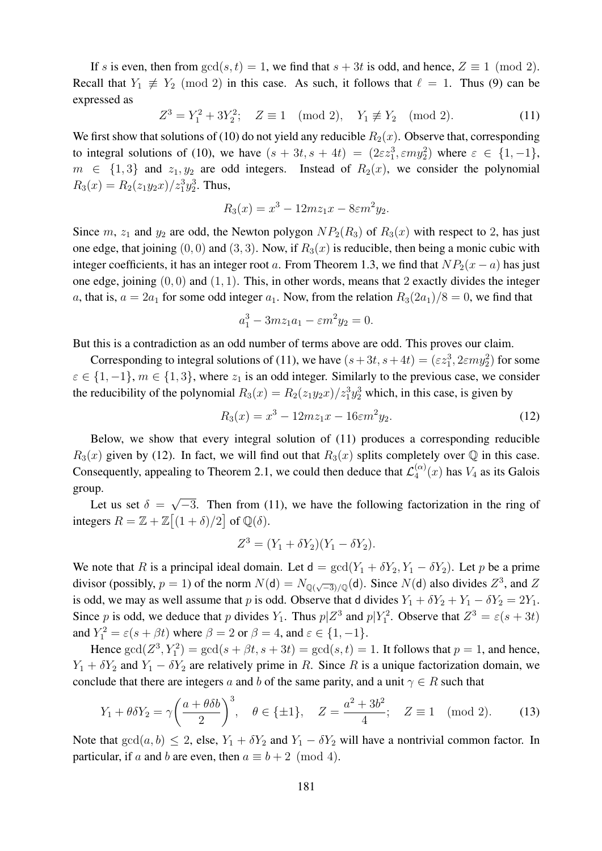If s is even, then from  $gcd(s, t) = 1$ , we find that  $s + 3t$  is odd, and hence,  $Z \equiv 1 \pmod{2}$ . Recall that  $Y_1 \not\equiv Y_2 \pmod{2}$  in this case. As such, it follows that  $\ell = 1$ . Thus (9) can be expressed as

$$
Z^3 = Y_1^2 + 3Y_2^2; \quad Z \equiv 1 \pmod{2}, \quad Y_1 \not\equiv Y_2 \pmod{2}.
$$
 (11)

We first show that solutions of (10) do not yield any reducible  $R_2(x)$ . Observe that, corresponding to integral solutions of (10), we have  $(s + 3t, s + 4t) = (2\varepsilon z_1^3, \varepsilon m y_2^2)$  where  $\varepsilon \in \{1, -1\}$ ,  $m \in \{1,3\}$  and  $z_1, y_2$  are odd integers. Instead of  $R_2(x)$ , we consider the polynomial  $R_3(x) = R_2(z_1y_2x)/z_1^3y_2^3$ . Thus,

$$
R_3(x) = x^3 - 12mz_1x - 8\epsilon m^2 y_2.
$$

Since m,  $z_1$  and  $y_2$  are odd, the Newton polygon  $NP_2(R_3)$  of  $R_3(x)$  with respect to 2, has just one edge, that joining  $(0, 0)$  and  $(3, 3)$ . Now, if  $R_3(x)$  is reducible, then being a monic cubic with integer coefficients, it has an integer root a. From Theorem 1.3, we find that  $NP_2(x - a)$  has just one edge, joining  $(0, 0)$  and  $(1, 1)$ . This, in other words, means that 2 exactly divides the integer a, that is,  $a = 2a_1$  for some odd integer  $a_1$ . Now, from the relation  $R_3(2a_1)/8 = 0$ , we find that

$$
a_1^3 - 3mz_1a_1 - \varepsilon m^2 y_2 = 0.
$$

But this is a contradiction as an odd number of terms above are odd. This proves our claim.

Corresponding to integral solutions of (11), we have  $(s+3t, s+4t) = (\varepsilon z_1^3, 2\varepsilon m y_2^2)$  for some  $\varepsilon \in \{1, -1\}, m \in \{1, 3\},\$  where  $z_1$  is an odd integer. Similarly to the previous case, we consider the reducibility of the polynomial  $R_3(x) = R_2(z_1y_2x)/z_1^3y_2^3$  which, in this case, is given by

$$
R_3(x) = x^3 - 12mz_1x - 16\epsilon m^2y_2.
$$
 (12)

Below, we show that every integral solution of (11) produces a corresponding reducible  $R_3(x)$  given by (12). In fact, we will find out that  $R_3(x)$  splits completely over  $\mathbb Q$  in this case. Consequently, appealing to Theorem 2.1, we could then deduce that  $\mathcal{L}_4^{(\alpha)}$  $\binom{(\alpha)}{4}(x)$  has  $V_4$  as its Galois group. √

Let us set  $\delta =$  $\overline{-3}$ . Then from (11), we have the following factorization in the ring of integers  $R = \mathbb{Z} + \mathbb{Z}[(1+\delta)/2]$  of  $\mathbb{Q}(\delta)$ .

$$
Z^{3} = (Y_{1} + \delta Y_{2})(Y_{1} - \delta Y_{2}).
$$

We note that R is a principal ideal domain. Let  $d = \gcd(Y_1 + \delta Y_2, Y_1 - \delta Y_2)$ . Let p be a prime divisor (possibly,  $p = 1$ ) of the norm  $N(d) = N_{\mathbb{Q}(\sqrt{-3})/\mathbb{Q}}(d)$ . Since  $N(d)$  also divides  $Z^3$ , and Z is odd, we may as well assume that p is odd. Observe that d divides  $Y_1 + \delta Y_2 + Y_1 - \delta Y_2 = 2Y_1$ . Since p is odd, we deduce that p divides  $Y_1$ . Thus  $p|Z^3$  and  $p|Y_1^2$ . Observe that  $Z^3 = \varepsilon(s + 3t)$ and  $Y_1^2 = \varepsilon(s + \beta t)$  where  $\beta = 2$  or  $\beta = 4$ , and  $\varepsilon \in \{1, -1\}$ .

Hence  $\gcd(Z^3, Y_1^2) = \gcd(s + \beta t, s + 3t) = \gcd(s, t) = 1$ . It follows that  $p = 1$ , and hence,  $Y_1 + \delta Y_2$  and  $Y_1 - \delta Y_2$  are relatively prime in R. Since R is a unique factorization domain, we conclude that there are integers a and b of the same parity, and a unit  $\gamma \in R$  such that

$$
Y_1 + \theta \delta Y_2 = \gamma \left(\frac{a + \theta \delta b}{2}\right)^3
$$
,  $\theta \in \{\pm 1\}$ ,  $Z = \frac{a^2 + 3b^2}{4}$ ;  $Z \equiv 1 \pmod{2}$ . (13)

Note that  $gcd(a, b) \le 2$ , else,  $Y_1 + \delta Y_2$  and  $Y_1 - \delta Y_2$  will have a nontrivial common factor. In particular, if a and b are even, then  $a \equiv b + 2 \pmod{4}$ .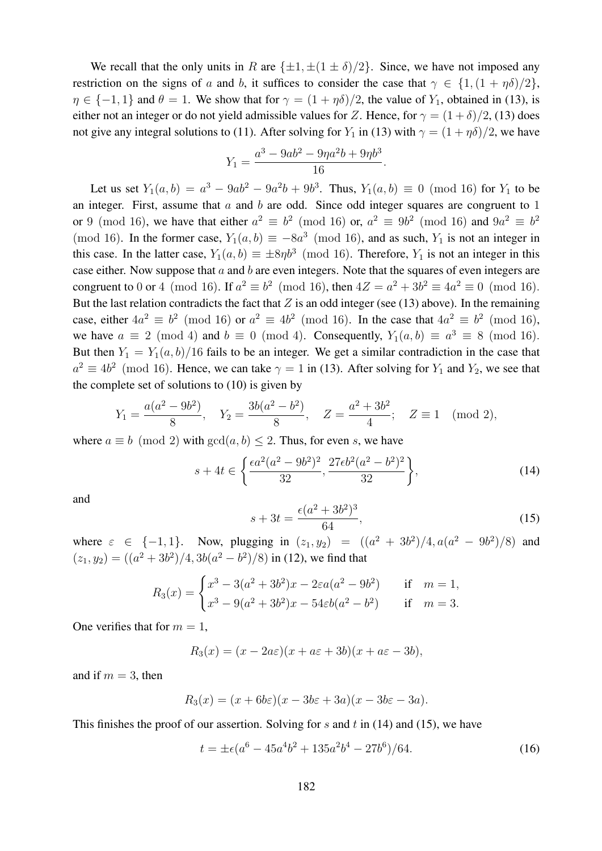We recall that the only units in R are  $\{\pm 1, \pm (1 \pm \delta)/2\}$ . Since, we have not imposed any restriction on the signs of a and b, it suffices to consider the case that  $\gamma \in \{1,(1+\eta\delta)/2\},\$  $\eta \in \{-1, 1\}$  and  $\theta = 1$ . We show that for  $\gamma = (1 + \eta \delta)/2$ , the value of  $Y_1$ , obtained in (13), is either not an integer or do not yield admissible values for Z. Hence, for  $\gamma = (1 + \delta)/2$ , (13) does not give any integral solutions to (11). After solving for  $Y_1$  in (13) with  $\gamma = (1 + \eta \delta)/2$ , we have

$$
Y_1 = \frac{a^3 - 9ab^2 - 9\eta a^2b + 9\eta b^3}{16}.
$$

Let us set  $Y_1(a, b) = a^3 - 9ab^2 - 9a^2b + 9b^3$ . Thus,  $Y_1(a, b) \equiv 0 \pmod{16}$  for  $Y_1$  to be an integer. First, assume that  $a$  and  $b$  are odd. Since odd integer squares are congruent to 1 or 9 (mod 16), we have that either  $a^2 \equiv b^2 \pmod{16}$  or,  $a^2 \equiv 9b^2 \pmod{16}$  and  $9a^2 \equiv b^2$ (mod 16). In the former case,  $Y_1(a, b) \equiv -8a^3 \pmod{16}$ , and as such,  $Y_1$  is not an integer in this case. In the latter case,  $Y_1(a, b) \equiv \pm 8\eta b^3 \pmod{16}$ . Therefore,  $Y_1$  is not an integer in this case either. Now suppose that  $a$  and  $b$  are even integers. Note that the squares of even integers are congruent to 0 or 4 (mod 16). If  $a^2 \equiv b^2 \pmod{16}$ , then  $4Z = a^2 + 3b^2 \equiv 4a^2 \equiv 0 \pmod{16}$ . But the last relation contradicts the fact that  $Z$  is an odd integer (see (13) above). In the remaining case, either  $4a^2 \equiv b^2 \pmod{16}$  or  $a^2 \equiv 4b^2 \pmod{16}$ . In the case that  $4a^2 \equiv b^2 \pmod{16}$ , we have  $a \equiv 2 \pmod{4}$  and  $b \equiv 0 \pmod{4}$ . Consequently,  $Y_1(a, b) \equiv a^3 \equiv 8 \pmod{16}$ . But then  $Y_1 = Y_1(a, b)/16$  fails to be an integer. We get a similar contradiction in the case that  $a^2 \equiv 4b^2 \pmod{16}$ . Hence, we can take  $\gamma = 1$  in (13). After solving for  $Y_1$  and  $Y_2$ , we see that the complete set of solutions to (10) is given by

$$
Y_1 = \frac{a(a^2 - 9b^2)}{8}
$$
,  $Y_2 = \frac{3b(a^2 - b^2)}{8}$ ,  $Z = \frac{a^2 + 3b^2}{4}$ ;  $Z \equiv 1 \pmod{2}$ ,

where  $a \equiv b \pmod{2}$  with  $gcd(a, b) \le 2$ . Thus, for even s, we have

$$
s + 4t \in \left\{ \frac{\epsilon a^2 (a^2 - 9b^2)^2}{32}, \frac{27\epsilon b^2 (a^2 - b^2)^2}{32} \right\},\tag{14}
$$

and

$$
s + 3t = \frac{\epsilon(a^2 + 3b^2)^3}{64},\tag{15}
$$

where  $\varepsilon \in \{-1, 1\}$ . Now, plugging in  $(z_1, y_2) = ((a^2 + 3b^2)/4, a(a^2 - 9b^2)/8)$  and  $(z_1, y_2) = ((a^2 + 3b^2)/4, 3b(a^2 - b^2)/8)$  in (12), we find that

$$
R_3(x) = \begin{cases} x^3 - 3(a^2 + 3b^2)x - 2\varepsilon a(a^2 - 9b^2) & \text{if } m = 1, \\ x^3 - 9(a^2 + 3b^2)x - 54\varepsilon b(a^2 - b^2) & \text{if } m = 3. \end{cases}
$$

One verifies that for  $m = 1$ ,

$$
R_3(x) = (x - 2a\varepsilon)(x + a\varepsilon + 3b)(x + a\varepsilon - 3b),
$$

and if  $m = 3$ , then

$$
R_3(x) = (x + 6b\varepsilon)(x - 3b\varepsilon + 3a)(x - 3b\varepsilon - 3a).
$$

This finishes the proof of our assertion. Solving for s and t in  $(14)$  and  $(15)$ , we have

$$
t = \pm \epsilon (a^6 - 45a^4b^2 + 135a^2b^4 - 27b^6)/64. \tag{16}
$$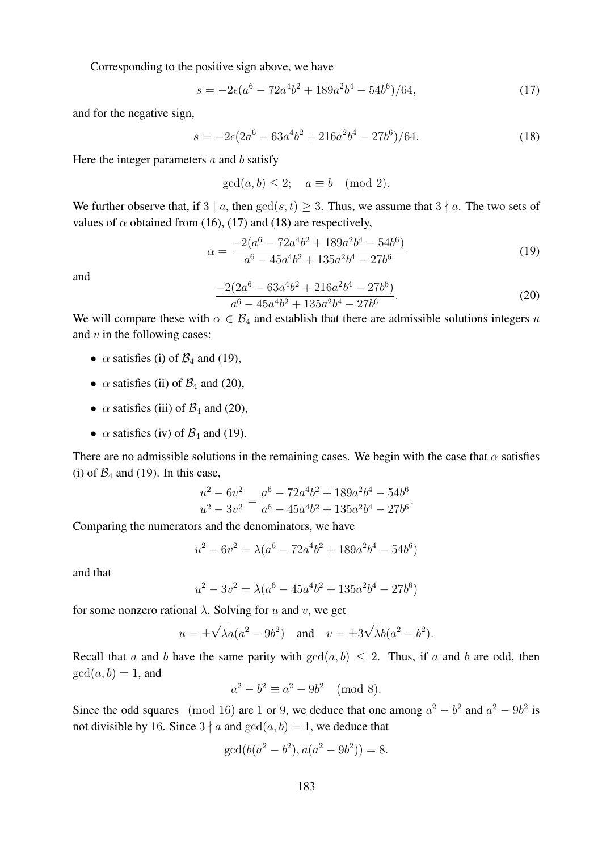Corresponding to the positive sign above, we have

$$
s = -2\epsilon (a^6 - 72a^4b^2 + 189a^2b^4 - 54b^6)/64,\tag{17}
$$

and for the negative sign,

$$
s = -2\epsilon(2a^6 - 63a^4b^2 + 216a^2b^4 - 27b^6)/64. \tag{18}
$$

Here the integer parameters  $a$  and  $b$  satisfy

 $gcd(a, b) \leq 2$ ;  $a \equiv b \pmod{2}$ .

We further observe that, if 3 | a, then  $gcd(s, t) \geq 3$ . Thus, we assume that  $3 \nmid a$ . The two sets of values of  $\alpha$  obtained from (16), (17) and (18) are respectively,

$$
\alpha = \frac{-2(a^6 - 72a^4b^2 + 189a^2b^4 - 54b^6)}{a^6 - 45a^4b^2 + 135a^2b^4 - 27b^6}
$$
\n(19)

and

$$
\frac{-2(2a^6 - 63a^4b^2 + 216a^2b^4 - 27b^6)}{a^6 - 45a^4b^2 + 135a^2b^4 - 27b^6}.
$$
\n(20)

We will compare these with  $\alpha \in \mathcal{B}_4$  and establish that there are admissible solutions integers u and  $v$  in the following cases:

- $\alpha$  satisfies (i) of  $\mathcal{B}_4$  and (19),
- $\alpha$  satisfies (ii) of  $\mathcal{B}_4$  and (20),
- $\alpha$  satisfies (iii) of  $\mathcal{B}_4$  and (20),
- $\alpha$  satisfies (iv) of  $\mathcal{B}_4$  and (19).

There are no admissible solutions in the remaining cases. We begin with the case that  $\alpha$  satisfies (i) of  $\mathcal{B}_4$  and (19). In this case,

$$
\frac{u^2 - 6v^2}{u^2 - 3v^2} = \frac{a^6 - 72a^4b^2 + 189a^2b^4 - 54b^6}{a^6 - 45a^4b^2 + 135a^2b^4 - 27b^6}.
$$

Comparing the numerators and the denominators, we have

$$
u^{2} - 6v^{2} = \lambda(a^{6} - 72a^{4}b^{2} + 189a^{2}b^{4} - 54b^{6})
$$

and that

$$
u^{2} - 3v^{2} = \lambda(a^{6} - 45a^{4}b^{2} + 135a^{2}b^{4} - 27b^{6})
$$

for some nonzero rational  $\lambda$ . Solving for u and v, we get

$$
u = \pm \sqrt{\lambda}a(a^2 - 9b^2)
$$
 and  $v = \pm 3\sqrt{\lambda}b(a^2 - b^2)$ .

Recall that a and b have the same parity with  $gcd(a, b) \le 2$ . Thus, if a and b are odd, then  $gcd(a, b) = 1$ , and

$$
a^2 - b^2 \equiv a^2 - 9b^2 \pmod{8}.
$$

Since the odd squares (mod 16) are 1 or 9, we deduce that one among  $a^2 - b^2$  and  $a^2 - 9b^2$  is not divisible by 16. Since  $3 \nmid a$  and  $gcd(a, b) = 1$ , we deduce that

$$
\gcd(b(a^2 - b^2), a(a^2 - 9b^2)) = 8.
$$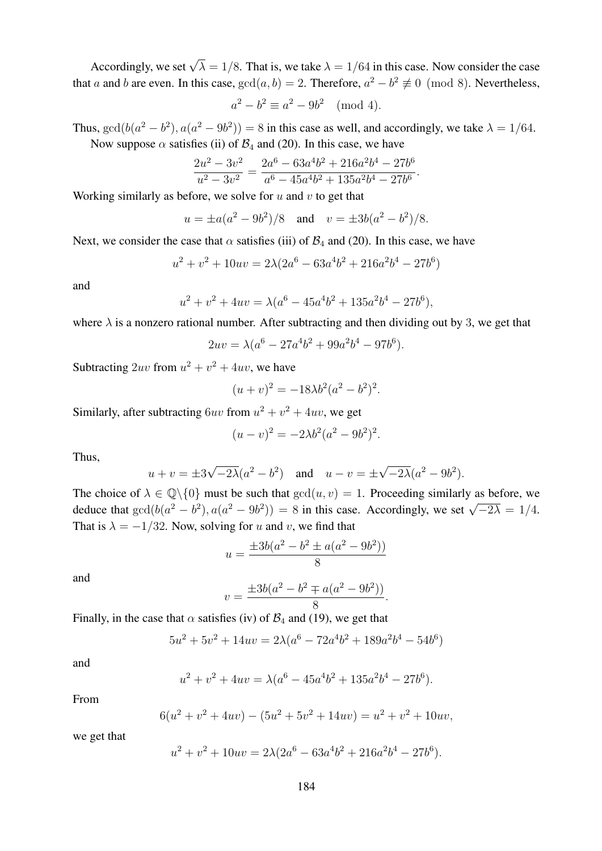Accordingly, we set  $\sqrt{\lambda} = 1/8$ . That is, we take  $\lambda = 1/64$  in this case. Now consider the case that a and b are even. In this case,  $gcd(a, b) = 2$ . Therefore,  $a^2 - b^2 \not\equiv 0 \pmod{8}$ . Nevertheless,

$$
a^2 - b^2 \equiv a^2 - 9b^2 \pmod{4}.
$$

Thus,  $gcd(b(a^2 - b^2), a(a^2 - 9b^2)) = 8$  in this case as well, and accordingly, we take  $\lambda = 1/64$ . Now suppose  $\alpha$  satisfies (ii) of  $\mathcal{B}_4$  and (20). In this case, we have

$$
\frac{2u^2 - 3v^2}{u^2 - 3v^2} = \frac{2a^6 - 63a^4b^2 + 216a^2b^4 - 27b^6}{a^6 - 45a^4b^2 + 135a^2b^4 - 27b^6}.
$$

Working similarly as before, we solve for  $u$  and  $v$  to get that

$$
u = \pm a(a^2 - 9b^2)/8
$$
 and  $v = \pm 3b(a^2 - b^2)/8$ .

Next, we consider the case that  $\alpha$  satisfies (iii) of  $\mathcal{B}_4$  and (20). In this case, we have

$$
u^{2} + v^{2} + 10uv = 2\lambda(2a^{6} - 63a^{4}b^{2} + 216a^{2}b^{4} - 27b^{6})
$$

and

$$
u^{2} + v^{2} + 4uv = \lambda(a^{6} - 45a^{4}b^{2} + 135a^{2}b^{4} - 27b^{6}),
$$

where  $\lambda$  is a nonzero rational number. After subtracting and then dividing out by 3, we get that

$$
2uv = \lambda(a^6 - 27a^4b^2 + 99a^2b^4 - 97b^6).
$$

Subtracting  $2uv$  from  $u^2 + v^2 + 4uv$ , we have

$$
(u + v)^2 = -18\lambda b^2 (a^2 - b^2)^2.
$$

Similarly, after subtracting  $6uv$  from  $u^2 + v^2 + 4uv$ , we get

$$
(u - v)^2 = -2\lambda b^2 (a^2 - 9b^2)^2.
$$

Thus,

$$
u + v = \pm 3\sqrt{-2\lambda}(a^2 - b^2)
$$
 and  $u - v = \pm \sqrt{-2\lambda}(a^2 - 9b^2)$ .

The choice of  $\lambda \in \mathbb{Q}\backslash\{0\}$  must be such that  $gcd(u, v) = 1$ . Proceeding similarly as before, we deduce that  $gcd(b(a^2 - b^2), a(a^2 - 9b^2)) = 8$  in this case. Accordingly, we set  $\sqrt{-2\lambda} = 1/4$ . That is  $\lambda = -1/32$ . Now, solving for u and v, we find that

$$
u = \frac{\pm 3b(a^2 - b^2 \pm a(a^2 - 9b^2))}{8}
$$

and

$$
v = \frac{\pm 3b(a^2 - b^2 \mp a(a^2 - 9b^2))}{8}.
$$

Finally, in the case that  $\alpha$  satisfies (iv) of  $\mathcal{B}_4$  and (19), we get that

$$
5u^2 + 5v^2 + 14uv = 2\lambda(a^6 - 72a^4b^2 + 189a^2b^4 - 54b^6)
$$

and

$$
u^{2} + v^{2} + 4uv = \lambda(a^{6} - 45a^{4}b^{2} + 135a^{2}b^{4} - 27b^{6}).
$$

From

$$
6(u2 + v2 + 4uv) - (5u2 + 5v2 + 14uv) = u2 + v2 + 10uv,
$$

we get that

$$
u^{2} + v^{2} + 10uv = 2\lambda(2a^{6} - 63a^{4}b^{2} + 216a^{2}b^{4} - 27b^{6}).
$$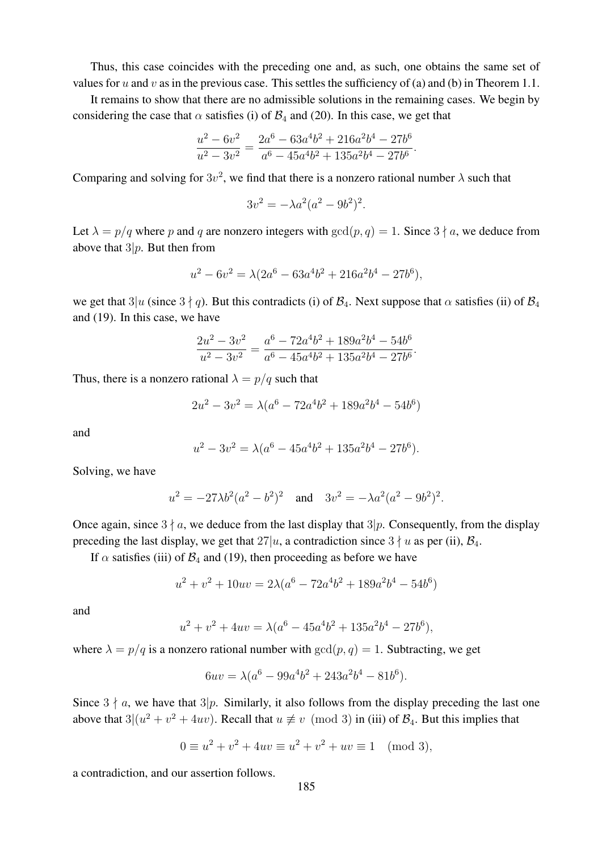Thus, this case coincides with the preceding one and, as such, one obtains the same set of values for u and v as in the previous case. This settles the sufficiency of (a) and (b) in Theorem 1.1.

It remains to show that there are no admissible solutions in the remaining cases. We begin by considering the case that  $\alpha$  satisfies (i) of  $\mathcal{B}_4$  and (20). In this case, we get that

$$
\frac{u^2 - 6v^2}{u^2 - 3v^2} = \frac{2a^6 - 63a^4b^2 + 216a^2b^4 - 27b^6}{a^6 - 45a^4b^2 + 135a^2b^4 - 27b^6}.
$$

Comparing and solving for  $3v^2$ , we find that there is a nonzero rational number  $\lambda$  such that

$$
3v^2 = -\lambda a^2 (a^2 - 9b^2)^2.
$$

Let  $\lambda = p/q$  where p and q are nonzero integers with  $gcd(p, q) = 1$ . Since  $3 \nmid a$ , we deduce from above that  $3|p$ . But then from

$$
u^2 - 6v^2 = \lambda(2a^6 - 63a^4b^2 + 216a^2b^4 - 27b^6),
$$

we get that  $3|u$  (since  $3 \nmid q$ ). But this contradicts (i) of  $\mathcal{B}_4$ . Next suppose that  $\alpha$  satisfies (ii) of  $\mathcal{B}_4$ and (19). In this case, we have

$$
\frac{2u^2 - 3v^2}{u^2 - 3v^2} = \frac{a^6 - 72a^4b^2 + 189a^2b^4 - 54b^6}{a^6 - 45a^4b^2 + 135a^2b^4 - 27b^6}.
$$

Thus, there is a nonzero rational  $\lambda = p/q$  such that

$$
2u^2 - 3v^2 = \lambda(a^6 - 72a^4b^2 + 189a^2b^4 - 54b^6)
$$

and

$$
u^2 - 3v^2 = \lambda(a^6 - 45a^4b^2 + 135a^2b^4 - 27b^6).
$$

Solving, we have

$$
u^2 = -27\lambda b^2 (a^2 - b^2)^2
$$
 and  $3v^2 = -\lambda a^2 (a^2 - 9b^2)^2$ .

Once again, since  $3 \nmid a$ , we deduce from the last display that  $3|p$ . Consequently, from the display preceding the last display, we get that  $27|u$ , a contradiction since  $3 \nmid u$  as per (ii),  $\mathcal{B}_4$ .

If  $\alpha$  satisfies (iii) of  $\mathcal{B}_4$  and (19), then proceeding as before we have

$$
u^{2} + v^{2} + 10uv = 2\lambda(a^{6} - 72a^{4}b^{2} + 189a^{2}b^{4} - 54b^{6})
$$

and

$$
u^{2} + v^{2} + 4uv = \lambda(a^{6} - 45a^{4}b^{2} + 135a^{2}b^{4} - 27b^{6}),
$$

where  $\lambda = p/q$  is a nonzero rational number with  $gcd(p, q) = 1$ . Subtracting, we get

$$
6uv = \lambda(a^6 - 99a^4b^2 + 243a^2b^4 - 81b^6).
$$

Since  $3 \nmid a$ , we have that  $3|p$ . Similarly, it also follows from the display preceding the last one above that  $3|(u^2 + v^2 + 4uv)$ . Recall that  $u \neq v \pmod{3}$  in (iii) of  $\mathcal{B}_4$ . But this implies that

$$
0 \equiv u^2 + v^2 + 4uv \equiv u^2 + v^2 + uv \equiv 1 \pmod{3},
$$

a contradiction, and our assertion follows.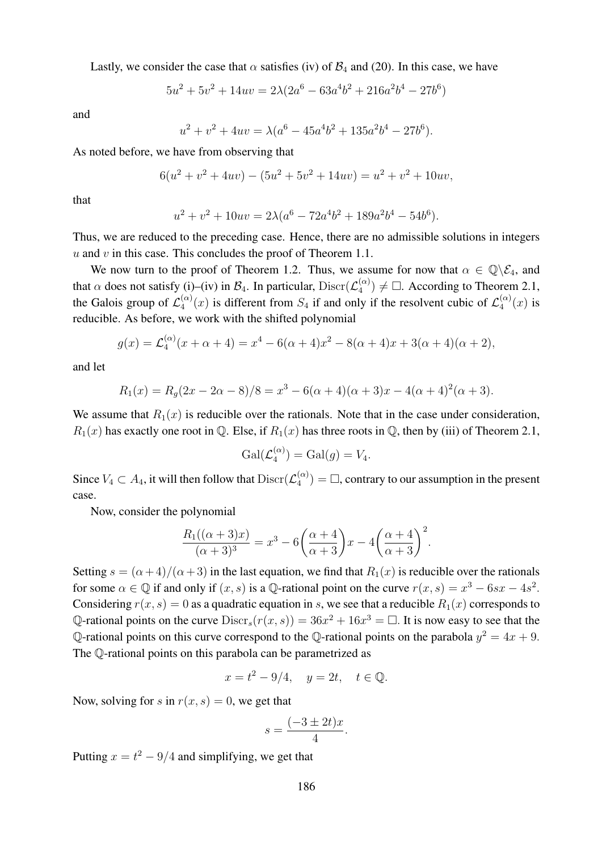Lastly, we consider the case that  $\alpha$  satisfies (iv) of  $\mathcal{B}_4$  and (20). In this case, we have

$$
5u^2 + 5v^2 + 14uv = 2\lambda(2a^6 - 63a^4b^2 + 216a^2b^4 - 27b^6)
$$

and

$$
u^{2} + v^{2} + 4uv = \lambda(a^{6} - 45a^{4}b^{2} + 135a^{2}b^{4} - 27b^{6}).
$$

As noted before, we have from observing that

$$
6(u2 + v2 + 4uv) - (5u2 + 5v2 + 14uv) = u2 + v2 + 10uv,
$$

that

$$
u^{2} + v^{2} + 10uv = 2\lambda(a^{6} - 72a^{4}b^{2} + 189a^{2}b^{4} - 54b^{6}).
$$

Thus, we are reduced to the preceding case. Hence, there are no admissible solutions in integers  $u$  and  $v$  in this case. This concludes the proof of Theorem 1.1.

We now turn to the proof of Theorem 1.2. Thus, we assume for now that  $\alpha \in \mathbb{Q} \backslash \mathcal{E}_4$ , and that  $\alpha$  does not satisfy (i)–(iv) in  $\mathcal{B}_4$ . In particular, Discr $(\mathcal{L}_4^{(\alpha)})$  $\binom{\binom{\alpha}{4}}{4} \neq \Box$ . According to Theorem 2.1, the Galois group of  $\mathcal{L}_4^{(\alpha)}$  $\binom{\alpha}{4}(x)$  is different from  $S_4$  if and only if the resolvent cubic of  $\mathcal{L}_4^{(\alpha)}$  $\binom{\alpha}{4}(x)$  is reducible. As before, we work with the shifted polynomial

$$
g(x) = \mathcal{L}_4^{(\alpha)}(x + \alpha + 4) = x^4 - 6(\alpha + 4)x^2 - 8(\alpha + 4)x + 3(\alpha + 4)(\alpha + 2),
$$

and let

$$
R_1(x) = R_g(2x - 2\alpha - 8)/8 = x^3 - 6(\alpha + 4)(\alpha + 3)x - 4(\alpha + 4)^2(\alpha + 3).
$$

We assume that  $R_1(x)$  is reducible over the rationals. Note that in the case under consideration,  $R_1(x)$  has exactly one root in Q. Else, if  $R_1(x)$  has three roots in Q, then by (iii) of Theorem 2.1,

$$
\operatorname{Gal}(\mathcal{L}_4^{(\alpha)}) = \operatorname{Gal}(g) = V_4.
$$

Since  $V_4 \subset A_4$ , it will then follow that  $\text{Discr}(\mathcal{L}_4^{(\alpha)})$  $\binom{\alpha}{4}$  =  $\Box$ , contrary to our assumption in the present case.

Now, consider the polynomial

$$
\frac{R_1((\alpha+3)x)}{(\alpha+3)^3} = x^3 - 6\left(\frac{\alpha+4}{\alpha+3}\right)x - 4\left(\frac{\alpha+4}{\alpha+3}\right)^2.
$$

Setting  $s = (\alpha + 4)/(\alpha + 3)$  in the last equation, we find that  $R_1(x)$  is reducible over the rationals for some  $\alpha \in \mathbb{Q}$  if and only if  $(x, s)$  is a  $\mathbb{Q}$ -rational point on the curve  $r(x, s) = x^3 - 6sx - 4s^2$ . Considering  $r(x, s) = 0$  as a quadratic equation in s, we see that a reducible  $R_1(x)$  corresponds to Q-rational points on the curve  $\text{Discr}_s(r(x, s)) = 36x^2 + 16x^3 = \Box$ . It is now easy to see that the Q-rational points on this curve correspond to the Q-rational points on the parabola  $y^2 = 4x + 9$ . The Q-rational points on this parabola can be parametrized as

$$
x = t^2 - 9/4, \quad y = 2t, \quad t \in \mathbb{Q}.
$$

Now, solving for s in  $r(x, s) = 0$ , we get that

$$
s = \frac{(-3 \pm 2t)x}{4}.
$$

Putting  $x = t^2 - 9/4$  and simplifying, we get that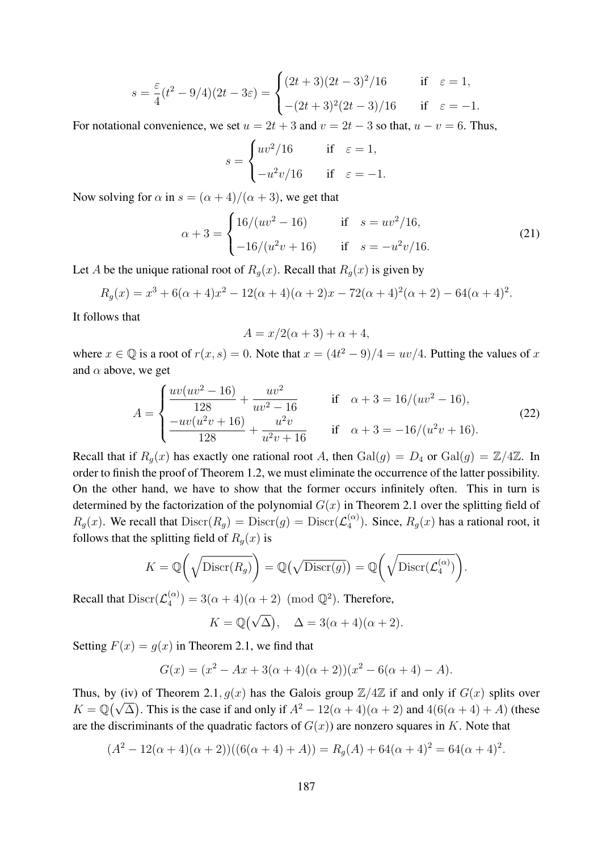$$
s = \frac{\varepsilon}{4}(t^2 - 9/4)(2t - 3\varepsilon) = \begin{cases} (2t + 3)(2t - 3)^2/16 & \text{if } \varepsilon = 1, \\ -(2t + 3)^2(2t - 3)/16 & \text{if } \varepsilon = -1. \end{cases}
$$

For notational convenience, we set  $u = 2t + 3$  and  $v = 2t - 3$  so that,  $u - v = 6$ . Thus,

$$
s = \begin{cases} uv^2/16 & \text{if } \varepsilon = 1, \\ -u^2v/16 & \text{if } \varepsilon = -1. \end{cases}
$$

Now solving for  $\alpha$  in  $s = (\alpha + 4)/(\alpha + 3)$ , we get that

$$
\alpha + 3 = \begin{cases} 16/(uv^2 - 16) & \text{if } s = uv^2/16, \\ -16/(u^2v + 16) & \text{if } s = -u^2v/16. \end{cases}
$$
(21)

Let A be the unique rational root of  $R_g(x)$ . Recall that  $R_g(x)$  is given by

$$
R_g(x) = x^3 + 6(\alpha + 4)x^2 - 12(\alpha + 4)(\alpha + 2)x - 72(\alpha + 4)^2(\alpha + 2) - 64(\alpha + 4)^2.
$$

It follows that

$$
A = x/2(\alpha + 3) + \alpha + 4,
$$

where  $x \in \mathbb{Q}$  is a root of  $r(x, s) = 0$ . Note that  $x = (4t^2 - 9)/4 = uv/4$ . Putting the values of x and  $\alpha$  above, we get

$$
A = \begin{cases} \frac{uv(uv^2 - 16)}{128} + \frac{uv^2}{uv^2 - 16} & \text{if } \alpha + 3 = 16/(uv^2 - 16), \\ \frac{-uv(u^2v + 16)}{128} + \frac{u^2v}{u^2v + 16} & \text{if } \alpha + 3 = -16/(u^2v + 16). \end{cases}
$$
(22)

Recall that if  $R_q(x)$  has exactly one rational root A, then  $Gal(g) = D_4$  or  $Gal(g) = \mathbb{Z}/4\mathbb{Z}$ . In order to finish the proof of Theorem 1.2, we must eliminate the occurrence of the latter possibility. On the other hand, we have to show that the former occurs infinitely often. This in turn is determined by the factorization of the polynomial  $G(x)$  in Theorem 2.1 over the splitting field of  $R_g(x)$ . We recall that  $\text{Discr}(R_g) = \text{Discr}(g) = \text{Discr}(\mathcal{L}_4^{(\alpha)})$  $\binom{\alpha}{4}$ . Since,  $R_g(x)$  has a rational root, it follows that the splitting field of  $R_q(x)$  is

$$
K = \mathbb{Q}\bigg(\sqrt{\mathrm{Discr}(R_g)}\bigg) = \mathbb{Q}\big(\sqrt{\mathrm{Discr}(g)}\big) = \mathbb{Q}\bigg(\sqrt{\mathrm{Discr}(\mathcal{L}_4^{(\alpha)})}\bigg).
$$

Recall that  $\text{Discr}(\mathcal{L}_4^{(\alpha)})$  $\binom{\alpha}{4}$  = 3( $\alpha + 4$ )( $\alpha + 2$ ) (mod  $\mathbb{Q}^2$ ). Therefore,

$$
K = \mathbb{Q}(\sqrt{\Delta}), \quad \Delta = 3(\alpha + 4)(\alpha + 2).
$$

Setting  $F(x) = q(x)$  in Theorem 2.1, we find that

$$
G(x) = (x2 - Ax + 3(\alpha + 4)(\alpha + 2))(x2 - 6(\alpha + 4) - A).
$$

Thus, by (iv) of Theorem 2.1,  $g(x)$  has the Galois group  $\mathbb{Z}/4\mathbb{Z}$  if and only if  $G(x)$  splits over Thus, by (iv) of Theorem 2.1,  $g(x)$  has the Galois group  $\mathbb{Z}/4\mathbb{Z}$  if and only if  $G(x)$  spins over  $K = \mathbb{Q}(\sqrt{\Delta})$ . This is the case if and only if  $A^2 - 12(\alpha + 4)(\alpha + 2)$  and  $4(6(\alpha + 4) + A)$  (these are the discriminants of the quadratic factors of  $G(x)$ ) are nonzero squares in K. Note that

$$
(A2 - 12(\alpha + 4)(\alpha + 2))((6(\alpha + 4) + A)) = Rg(A) + 64(\alpha + 4)2 = 64(\alpha + 4)2.
$$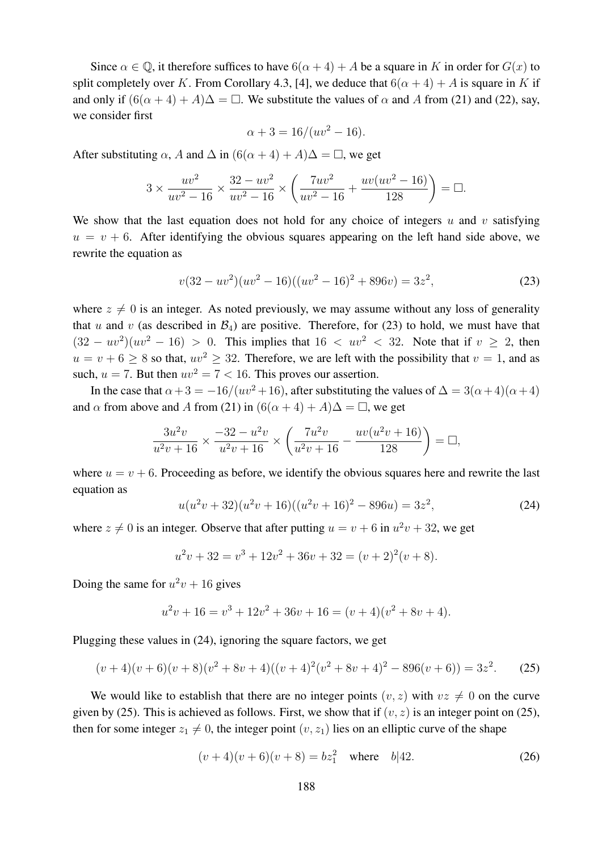Since  $\alpha \in \mathbb{Q}$ , it therefore suffices to have  $6(\alpha + 4) + A$  be a square in K in order for  $G(x)$  to split completely over K. From Corollary 4.3, [4], we deduce that  $6(\alpha + 4) + A$  is square in K if and only if  $(6(\alpha + 4) + A)\Delta = \Box$ . We substitute the values of  $\alpha$  and A from (21) and (22), say, we consider first

$$
\alpha + 3 = 16/(uv^2 - 16).
$$

After substituting  $\alpha$ , A and  $\Delta$  in  $(6(\alpha + 4) + A)\Delta = \Box$ , we get

$$
3 \times \frac{uv^2}{uv^2 - 16} \times \frac{32 - uv^2}{uv^2 - 16} \times \left(\frac{7uv^2}{uv^2 - 16} + \frac{uv(uv^2 - 16)}{128}\right) = \Box.
$$

We show that the last equation does not hold for any choice of integers  $u$  and  $v$  satisfying  $u = v + 6$ . After identifying the obvious squares appearing on the left hand side above, we rewrite the equation as

$$
v(32 - uv2)(uv2 - 16)((uv2 - 16)2 + 896v) = 3z2,
$$
 (23)

where  $z \neq 0$  is an integer. As noted previously, we may assume without any loss of generality that u and v (as described in  $\mathcal{B}_4$ ) are positive. Therefore, for (23) to hold, we must have that  $(32 - uv^2)(uv^2 - 16) > 0$ . This implies that  $16 < uv^2 < 32$ . Note that if  $v \ge 2$ , then  $u = v + 6 \ge 8$  so that,  $uv^2 \ge 32$ . Therefore, we are left with the possibility that  $v = 1$ , and as such,  $u = 7$ . But then  $uv^2 = 7 < 16$ . This proves our assertion.

In the case that  $\alpha + 3 = -16/(uv^2 + 16)$ , after substituting the values of  $\Delta = 3(\alpha + 4)(\alpha + 4)$ and  $\alpha$  from above and A from (21) in  $(6(\alpha + 4) + A)\Delta = \Box$ , we get

$$
\frac{3u^2v}{u^2v+16} \times \frac{-32 - u^2v}{u^2v+16} \times \left(\frac{7u^2v}{u^2v+16} - \frac{uv(u^2v+16)}{128}\right) = \Box,
$$

where  $u = v + 6$ . Proceeding as before, we identify the obvious squares here and rewrite the last equation as

$$
u(u2v + 32)(u2v + 16)((u2v + 16)2 – 896u) = 3z2,
$$
 (24)

where  $z \neq 0$  is an integer. Observe that after putting  $u = v + 6$  in  $u^2v + 32$ , we get

$$
u2v + 32 = v3 + 12v2 + 36v + 32 = (v + 2)2(v + 8).
$$

Doing the same for  $u^2v + 16$  gives

$$
u2v + 16 = v3 + 12v2 + 36v + 16 = (v + 4)(v2 + 8v + 4).
$$

Plugging these values in (24), ignoring the square factors, we get

$$
(v+4)(v+6)(v+8)(v^2+8v+4)((v+4)^2(v^2+8v+4)^2-896(v+6)) = 3z^2.
$$
 (25)

We would like to establish that there are no integer points  $(v, z)$  with  $vz \neq 0$  on the curve given by (25). This is achieved as follows. First, we show that if  $(v, z)$  is an integer point on (25), then for some integer  $z_1 \neq 0$ , the integer point  $(v, z_1)$  lies on an elliptic curve of the shape

$$
(v+4)(v+6)(v+8) = bz12 where b|42.
$$
 (26)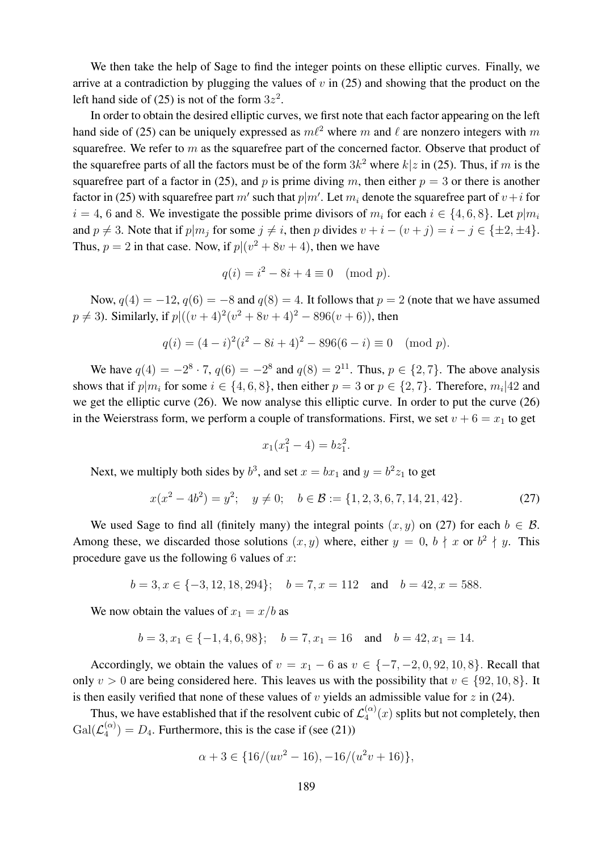We then take the help of Sage to find the integer points on these elliptic curves. Finally, we arrive at a contradiction by plugging the values of  $v$  in (25) and showing that the product on the left hand side of (25) is not of the form  $3z^2$ .

In order to obtain the desired elliptic curves, we first note that each factor appearing on the left hand side of (25) can be uniquely expressed as  $m\ell^2$  where m and  $\ell$  are nonzero integers with m squarefree. We refer to  $m$  as the squarefree part of the concerned factor. Observe that product of the squarefree parts of all the factors must be of the form  $3k^2$  where  $k|z$  in (25). Thus, if m is the squarefree part of a factor in (25), and p is prime diving m, then either  $p = 3$  or there is another factor in (25) with squarefree part  $m'$  such that  $p|m'$ . Let  $m_i$  denote the squarefree part of  $v+i$  for  $i = 4, 6$  and 8. We investigate the possible prime divisors of  $m_i$  for each  $i \in \{4, 6, 8\}$ . Let  $p|m_i$ and  $p \neq 3$ . Note that if  $p|m_j$  for some  $j \neq i$ , then p divides  $v + i - (v + j) = i - j \in \{\pm 2, \pm 4\}.$ Thus,  $p = 2$  in that case. Now, if  $p|(v^2 + 8v + 4)$ , then we have

$$
q(i) = i^2 - 8i + 4 \equiv 0 \pmod{p}.
$$

Now,  $q(4) = -12$ ,  $q(6) = -8$  and  $q(8) = 4$ . It follows that  $p = 2$  (note that we have assumed  $p \neq 3$ ). Similarly, if  $p$ | $((v + 4)^2(v^2 + 8v + 4)^2 – 896(v + 6))$ , then

$$
q(i) = (4 - i)^2(i^2 - 8i + 4)^2 - 896(6 - i) \equiv 0 \pmod{p}.
$$

We have  $q(4) = -2^8 \cdot 7$ ,  $q(6) = -2^8$  and  $q(8) = 2^{11}$ . Thus,  $p \in \{2, 7\}$ . The above analysis shows that if  $p|m_i$  for some  $i \in \{4,6,8\}$ , then either  $p=3$  or  $p \in \{2,7\}$ . Therefore,  $m_i|42$  and we get the elliptic curve (26). We now analyse this elliptic curve. In order to put the curve (26) in the Weierstrass form, we perform a couple of transformations. First, we set  $v + 6 = x_1$  to get

$$
x_1(x_1^2 - 4) = bz_1^2.
$$

Next, we multiply both sides by  $b^3$ , and set  $x = bx_1$  and  $y = b^2z_1$  to get

$$
x(x^{2} - 4b^{2}) = y^{2}; \quad y \neq 0; \quad b \in \mathcal{B} := \{1, 2, 3, 6, 7, 14, 21, 42\}.
$$
 (27)

We used Sage to find all (finitely many) the integral points  $(x, y)$  on (27) for each  $b \in \mathcal{B}$ . Among these, we discarded those solutions  $(x, y)$  where, either  $y = 0$ ,  $b \nmid x$  or  $b^2 \nmid y$ . This procedure gave us the following 6 values of  $x$ :

$$
b = 3, x \in \{-3, 12, 18, 294\};
$$
  $b = 7, x = 112$  and  $b = 42, x = 588.$ 

We now obtain the values of  $x_1 = x/b$  as

$$
b = 3, x_1 \in \{-1, 4, 6, 98\};
$$
  $b = 7, x_1 = 16$  and  $b = 42, x_1 = 14.$ 

Accordingly, we obtain the values of  $v = x_1 - 6$  as  $v \in \{-7, -2, 0, 92, 10, 8\}$ . Recall that only  $v > 0$  are being considered here. This leaves us with the possibility that  $v \in \{92, 10, 8\}$ . It is then easily verified that none of these values of  $v$  yields an admissible value for  $z$  in (24).

Thus, we have established that if the resolvent cubic of  $\mathcal{L}_4^{(\alpha)}$  $\binom{\alpha}{4}(x)$  splits but not completely, then  $\operatorname{Gal}(\mathcal{L}_4^{(\alpha)}$  $\binom{\alpha}{4}$  =  $D_4$ . Furthermore, this is the case if (see (21))

$$
\alpha + 3 \in \{16/(uv^2 - 16), -16/(u^2v + 16)\},\
$$